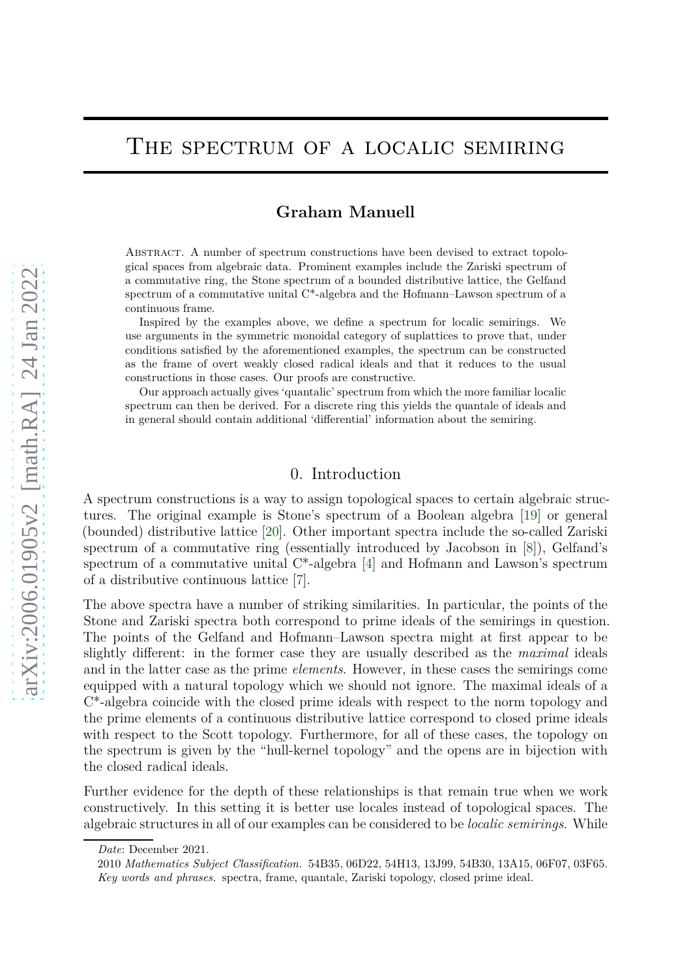# THE SPECTRUM OF A LOCALIC SEMIRING

# **Graham Manuell**

Abstract. A number of spectrum constructions have been devised to extract topological spaces from algebraic data. Prominent examples include the Zariski spectrum of a commutative ring, the Stone spectrum of a bounded distributive lattice, the Gelfand spectrum of a commutative unital  $C^*$ -algebra and the Hofmann–Lawson spectrum of a continuous frame.

Inspired by the examples above, we define a spectrum for localic semirings. We use arguments in the symmetric monoidal category of suplattices to prove that, under conditions satisfied by the aforementioned examples, the spectrum can be constructed as the frame of overt weakly closed radical ideals and that it reduces to the usual constructions in those cases. Our proofs are constructive.

Our approach actually gives 'quantalic' spectrum from which the more familiar localic spectrum can then be derived. For a discrete ring this yields the quantale of ideals and in general should contain additional 'differential' information about the semiring.

#### 0. Introduction

A spectrum constructions is a way to assign topological spaces to certain algebraic structures. The original example is Stone's spectrum of a Boolean algebra [\[19\]](#page-22-0) or general (bounded) distributive lattice [\[20\]](#page-22-1). Other important spectra include the so-called Zariski spectrum of a commutative ring (essentially introduced by Jacobson in [\[8\]](#page-21-0)), Gelfand's spectrum of a commutative unital  $C^*$ -algebra [\[4\]](#page-21-1) and Hofmann and Lawson's spectrum of a distributive continuous lattice [\[7\]](#page-21-2).

The above spectra have a number of striking similarities. In particular, the points of the Stone and Zariski spectra both correspond to prime ideals of the semirings in question. The points of the Gelfand and Hofmann–Lawson spectra might at first appear to be slightly different: in the former case they are usually described as the *maximal* ideals and in the latter case as the prime *elements*. However, in these cases the semirings come equipped with a natural topology which we should not ignore. The maximal ideals of a C\*-algebra coincide with the closed prime ideals with respect to the norm topology and the prime elements of a continuous distributive lattice correspond to closed prime ideals with respect to the Scott topology. Furthermore, for all of these cases, the topology on the spectrum is given by the "hull-kernel topology" and the opens are in bijection with the closed radical ideals.

Further evidence for the depth of these relationships is that remain true when we work constructively. In this setting it is better use locales instead of topological spaces. The algebraic structures in all of our examples can be considered to be *localic semirings*. While

*Date*: December 2021.

<sup>2010</sup> *Mathematics Subject Classification.* 54B35, 06D22, 54H13, 13J99, 54B30, 13A15, 06F07, 03F65. *Key words and phrases.* spectra, frame, quantale, Zariski topology, closed prime ideal.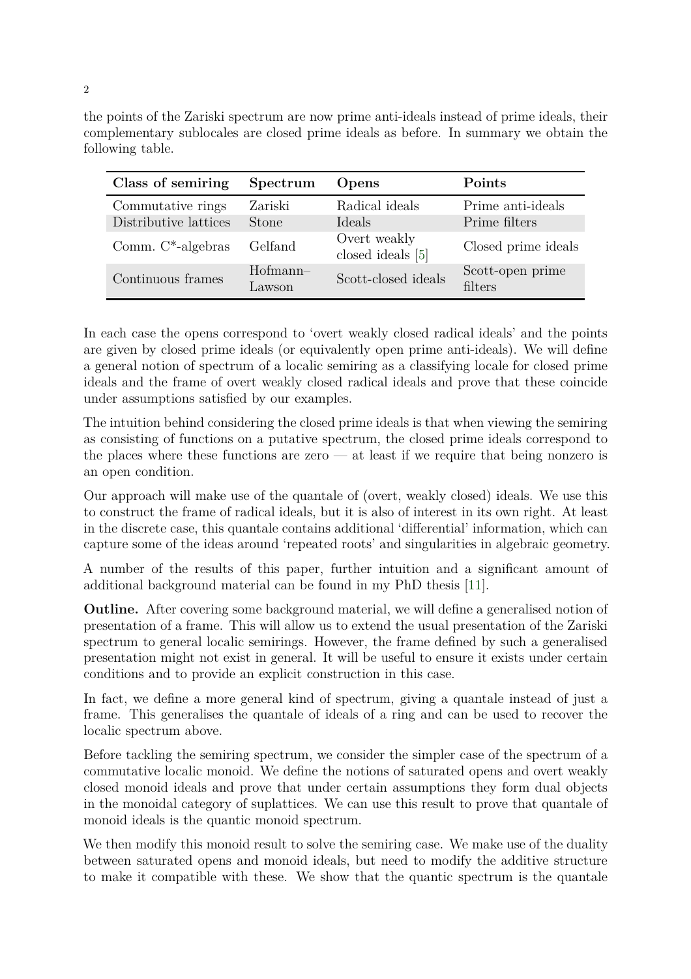the points of the Zariski spectrum are now prime anti-ideals instead of prime ideals, their complementary sublocales are closed prime ideals as before. In summary we obtain the following table.

| Class of semiring     | Spectrum             | Opens                             | Points                      |
|-----------------------|----------------------|-----------------------------------|-----------------------------|
| Commutative rings     | Zariski              | Radical ideals                    | Prime anti-ideals           |
| Distributive lattices | <b>Stone</b>         | Ideals                            | Prime filters               |
| Comm. $C^*$ -algebras | Gelfand              | Overt weakly<br>closed ideals [5] | Closed prime ideals         |
| Continuous frames     | $Hofmann-$<br>Lawson | Scott-closed ideals               | Scott-open prime<br>filters |

In each case the opens correspond to 'overt weakly closed radical ideals' and the points are given by closed prime ideals (or equivalently open prime anti-ideals). We will define a general notion of spectrum of a localic semiring as a classifying locale for closed prime ideals and the frame of overt weakly closed radical ideals and prove that these coincide under assumptions satisfied by our examples.

The intuition behind considering the closed prime ideals is that when viewing the semiring as consisting of functions on a putative spectrum, the closed prime ideals correspond to the places where these functions are zero — at least if we require that being nonzero is an open condition.

Our approach will make use of the quantale of (overt, weakly closed) ideals. We use this to construct the frame of radical ideals, but it is also of interest in its own right. At least in the discrete case, this quantale contains additional 'differential' information, which can capture some of the ideas around 'repeated roots' and singularities in algebraic geometry.

A number of the results of this paper, further intuition and a significant amount of additional background material can be found in my PhD thesis [\[11\]](#page-21-4).

**Outline.** After covering some background material, we will define a generalised notion of presentation of a frame. This will allow us to extend the usual presentation of the Zariski spectrum to general localic semirings. However, the frame defined by such a generalised presentation might not exist in general. It will be useful to ensure it exists under certain conditions and to provide an explicit construction in this case.

In fact, we define a more general kind of spectrum, giving a quantale instead of just a frame. This generalises the quantale of ideals of a ring and can be used to recover the localic spectrum above.

Before tackling the semiring spectrum, we consider the simpler case of the spectrum of a commutative localic monoid. We define the notions of saturated opens and overt weakly closed monoid ideals and prove that under certain assumptions they form dual objects in the monoidal category of suplattices. We can use this result to prove that quantale of monoid ideals is the quantic monoid spectrum.

We then modify this monoid result to solve the semiring case. We make use of the duality between saturated opens and monoid ideals, but need to modify the additive structure to make it compatible with these. We show that the quantic spectrum is the quantale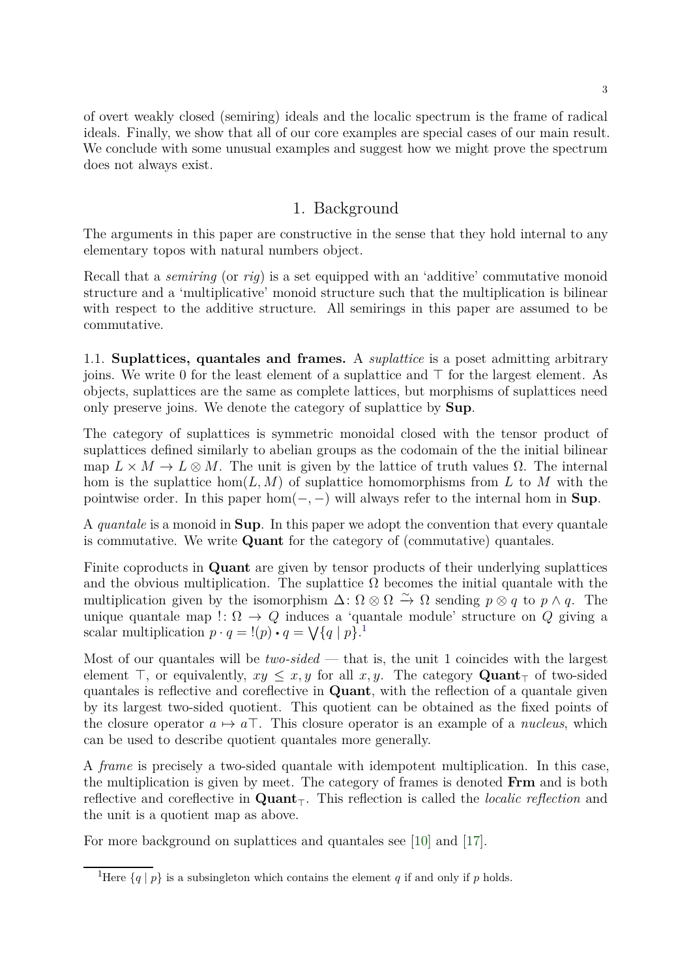of overt weakly closed (semiring) ideals and the localic spectrum is the frame of radical ideals. Finally, we show that all of our core examples are special cases of our main result. We conclude with some unusual examples and suggest how we might prove the spectrum does not always exist.

## 1. Background

The arguments in this paper are constructive in the sense that they hold internal to any elementary topos with natural numbers object.

Recall that a *semiring* (or *rig*) is a set equipped with an 'additive' commutative monoid structure and a 'multiplicative' monoid structure such that the multiplication is bilinear with respect to the additive structure. All semirings in this paper are assumed to be commutative.

1.1. **Suplattices, quantales and frames.** A *suplattice* is a poset admitting arbitrary joins. We write 0 for the least element of a suplattice and  $\top$  for the largest element. As objects, suplattices are the same as complete lattices, but morphisms of suplattices need only preserve joins. We denote the category of suplattice by Sup.

The category of suplattices is symmetric monoidal closed with the tensor product of suplattices defined similarly to abelian groups as the codomain of the the initial bilinear map  $L \times M \to L \otimes M$ . The unit is given by the lattice of truth values  $\Omega$ . The internal hom is the suplattice hom $(L, M)$  of suplattice homomorphisms from L to M with the pointwise order. In this paper hom $(-, -)$  will always refer to the internal hom in **Sup**.

A *quantale* is a monoid in Sup. In this paper we adopt the convention that every quantale is commutative. We write Quant for the category of (commutative) quantales.

Finite coproducts in Quant are given by tensor products of their underlying suplattices and the obvious multiplication. The suplattice  $\Omega$  becomes the initial quantale with the multiplication given by the isomorphism  $\Delta: \Omega \otimes \Omega \stackrel{\sim}{\to} \Omega$  sending  $p \otimes q$  to  $p \wedge q$ . The unique quantale map !:  $\Omega \rightarrow Q$  induces a 'quantale module' structure on Q giving a scalar multiplication  $p \cdot q = \frac{1}{p} \cdot q = \sqrt{q} \mid p$  $p \cdot q = \frac{1}{p} \cdot q = \sqrt{q} \mid p$  $p \cdot q = \frac{1}{p} \cdot q = \sqrt{q} \mid p$ .

Most of our quantales will be *two-sided* — that is, the unit 1 coincides with the largest element ⊤, or equivalently,  $xy \leq x, y$  for all x, y. The category Quant<sub>⊤</sub> of two-sided quantales is reflective and coreflective in Quant, with the reflection of a quantale given by its largest two-sided quotient. This quotient can be obtained as the fixed points of the closure operator  $a \mapsto a\top$ . This closure operator is an example of a *nucleus*, which can be used to describe quotient quantales more generally.

A *frame* is precisely a two-sided quantale with idempotent multiplication. In this case, the multiplication is given by meet. The category of frames is denoted Frm and is both reflective and coreflective in Quant⊤. This reflection is called the *localic reflection* and the unit is a quotient map as above.

For more background on suplattices and quantales see [\[10\]](#page-21-5) and [\[17\]](#page-21-6).

<span id="page-2-0"></span><sup>&</sup>lt;sup>1</sup>Here  $\{q \mid p\}$  is a subsingleton which contains the element q if and only if p holds.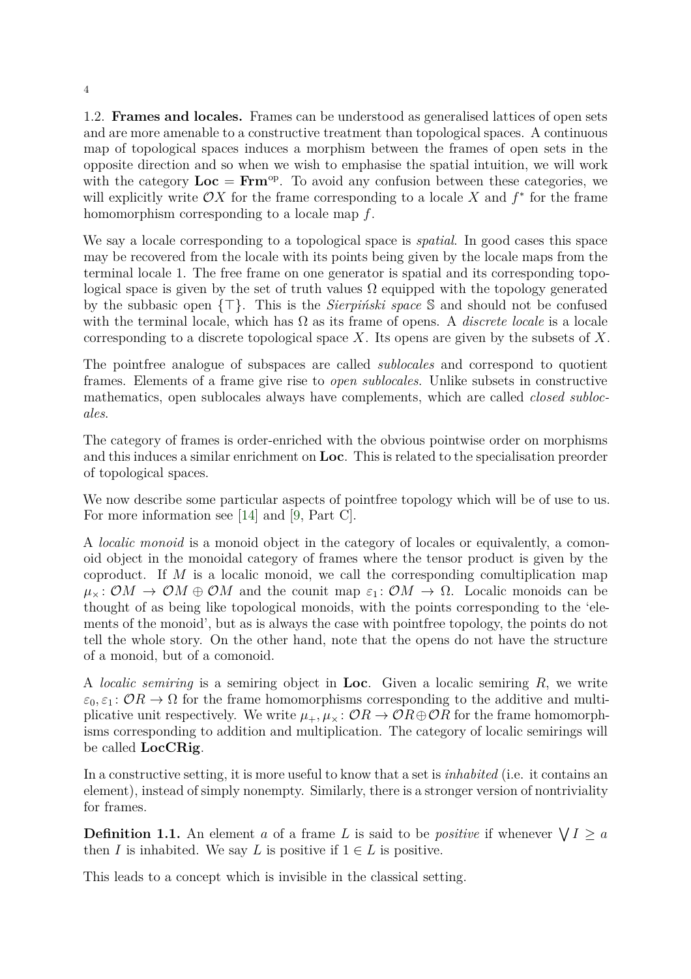1.2. **Frames and locales.** Frames can be understood as generalised lattices of open sets and are more amenable to a constructive treatment than topological spaces. A continuous map of topological spaces induces a morphism between the frames of open sets in the opposite direction and so when we wish to emphasise the spatial intuition, we will work with the category  $Loc = Frm^{op}$ . To avoid any confusion between these categories, we will explicitly write  $\mathcal{O}X$  for the frame corresponding to a locale X and  $f^*$  for the frame homomorphism corresponding to a locale map f.

We say a locale corresponding to a topological space is *spatial*. In good cases this space may be recovered from the locale with its points being given by the locale maps from the terminal locale 1. The free frame on one generator is spatial and its corresponding topological space is given by the set of truth values  $\Omega$  equipped with the topology generated by the subbasic open {⊤}. This is the *Sierpiński space* S and should not be confused with the terminal locale, which has  $\Omega$  as its frame of opens. A *discrete locale* is a locale corresponding to a discrete topological space  $X$ . Its opens are given by the subsets of  $X$ .

The pointfree analogue of subspaces are called *sublocales* and correspond to quotient frames. Elements of a frame give rise to *open sublocales*. Unlike subsets in constructive mathematics, open sublocales always have complements, which are called *closed sublocales*.

The category of frames is order-enriched with the obvious pointwise order on morphisms and this induces a similar enrichment on Loc. This is related to the specialisation preorder of topological spaces.

We now describe some particular aspects of point free topology which will be of use to us. For more information see [\[14\]](#page-21-7) and [\[9,](#page-21-8) Part C].

A *localic monoid* is a monoid object in the category of locales or equivalently, a comonoid object in the monoidal category of frames where the tensor product is given by the coproduct. If  $M$  is a localic monoid, we call the corresponding comultiplication map  $\mu_{\times} : \mathcal{O}M \to \mathcal{O}M \oplus \mathcal{O}M$  and the counit map  $\varepsilon_1 : \mathcal{O}M \to \Omega$ . Localic monoids can be thought of as being like topological monoids, with the points corresponding to the 'elements of the monoid', but as is always the case with pointfree topology, the points do not tell the whole story. On the other hand, note that the opens do not have the structure of a monoid, but of a comonoid.

A *localic semiring* is a semiring object in Loc. Given a localic semiring R, we write  $\varepsilon_0, \varepsilon_1: \mathcal{O}(\mathbb{R}) \to \Omega$  for the frame homomorphisms corresponding to the additive and multiplicative unit respectively. We write  $\mu_+,\mu_\times: \mathcal{O}(\mathbb{R}) \to \mathcal{O}(\mathbb{R}) \oplus \mathcal{O}(\mathbb{R})$  for the frame homomorphisms corresponding to addition and multiplication. The category of localic semirings will be called LocCRig.

In a constructive setting, it is more useful to know that a set is *inhabited* (i.e. it contains an element), instead of simply nonempty. Similarly, there is a stronger version of nontriviality for frames.

**Definition 1.1.** An element a of a frame L is said to be *positive* if whenever  $\bigvee I \ge a$ then I is inhabited. We say L is positive if  $1 \in L$  is positive.

This leads to a concept which is invisible in the classical setting.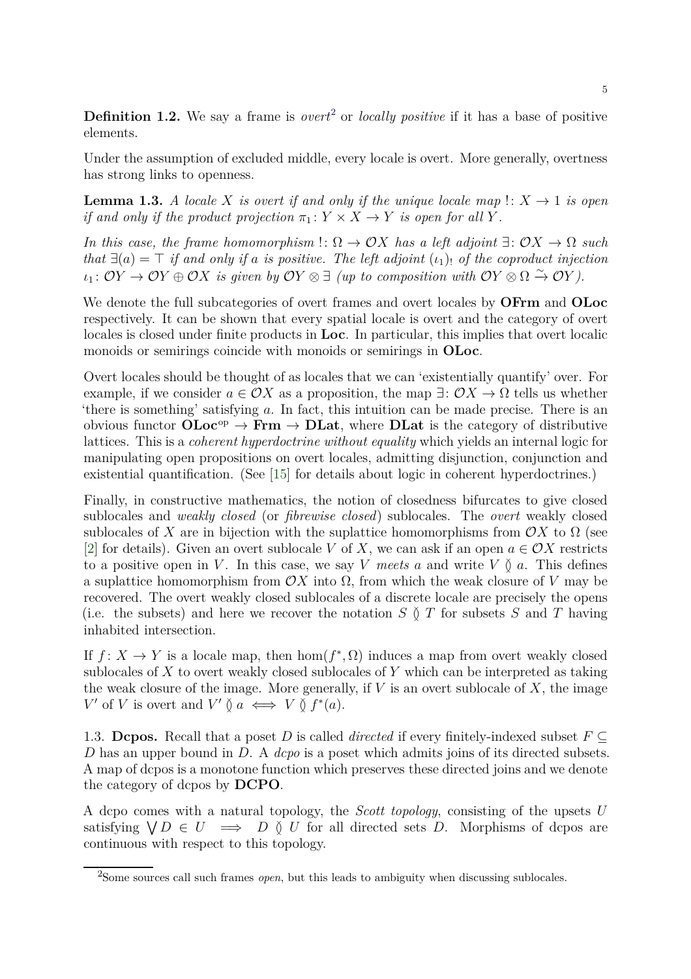**Definition 1.[2](#page-4-0).** We say a frame is *overt*<sup>2</sup> or *locally positive* if it has a base of positive elements.

Under the assumption of excluded middle, every locale is overt. More generally, overtness has strong links to openness.

**Lemma 1.3.** *A locale* X *is overt if and only if the unique locale map*  $\colon X \to 1$  *is open if and only if the product projection*  $\pi_1: Y \times X \rightarrow Y$  *is open for all* Y.

*In this case, the frame homomorphism*  $\Omega \to \mathcal{O}X$  *has a left adjoint*  $\exists: \mathcal{O}X \to \Omega$  *such that*  $\exists$ (a) =  $\top$  *if and only if a is positive. The left adjoint* ( $\iota$ <sub>1</sub>) *of the coproduct injection*  $u_1: \overrightarrow{OY} \rightarrow \overrightarrow{OY} \oplus \overrightarrow{OX}$  is given by  $\overrightarrow{OY} \otimes \exists$  *(up to composition with*  $\overrightarrow{OY} \otimes \Omega \stackrel{\sim}{\rightarrow} \overrightarrow{OY}$ ).

We denote the full subcategories of overt frames and overt locales by **OFrm** and **OLoc** respectively. It can be shown that every spatial locale is overt and the category of overt locales is closed under finite products in Loc. In particular, this implies that overt localic monoids or semirings coincide with monoids or semirings in **OLoc**.

Overt locales should be thought of as locales that we can 'existentially quantify' over. For example, if we consider  $a \in \mathcal{O}X$  as a proposition, the map  $\exists: \mathcal{O}X \to \Omega$  tells us whether 'there is something' satisfying a. In fact, this intuition can be made precise. There is an obvious functor  $\text{OLoc}^{\text{op}} \to \text{Frm} \to \text{DLat}$ , where  $\text{DLat}$  is the category of distributive lattices. This is a *coherent hyperdoctrine without equality* which yields an internal logic for manipulating open propositions on overt locales, admitting disjunction, conjunction and existential quantification. (See [\[15\]](#page-21-9) for details about logic in coherent hyperdoctrines.)

Finally, in constructive mathematics, the notion of closedness bifurcates to give closed sublocales and *weakly closed* (or *fibrewise closed*) sublocales. The *overt* weakly closed sublocales of X are in bijection with the suplattice homomorphisms from  $\mathcal{O}X$  to  $\Omega$  (see [\[2\]](#page-21-10) for details). Given an overt sublocale V of X, we can ask if an open  $a \in \mathcal{O}X$  restricts to a positive open in V. In this case, we say V meets a and write V  $\delta$  a. This defines a suplattice homomorphism from  $\mathcal{O}X$  into  $\Omega$ , from which the weak closure of V may be recovered. The overt weakly closed sublocales of a discrete locale are precisely the opens (i.e. the subsets) and here we recover the notation  $S \nvert T$  for subsets S and T having inhabited intersection.

If  $f: X \to Y$  is a locale map, then  $hom(f^*, \Omega)$  induces a map from overt weakly closed sublocales of  $X$  to overt weakly closed sublocales of  $Y$  which can be interpreted as taking the weak closure of the image. More generally, if  $V$  is an overt sublocale of  $X$ , the image  $V'$  of V is overt and  $V' \nsubseteq a \iff V \nsubseteq f^*(a)$ .

1.3. **Dcpos.** Recall that a poset D is called *directed* if every finitely-indexed subset  $F \subseteq$ D has an upper bound in D. A *dcpo* is a poset which admits joins of its directed subsets. A map of dcpos is a monotone function which preserves these directed joins and we denote the category of dcpos by DCPO.

A dcpo comes with a natural topology, the *Scott topology*, consisting of the upsets U satisfying  $\bigvee D \in U \implies D \circ U$  for all directed sets D. Morphisms of dcpos are continuous with respect to this topology.

<span id="page-4-0"></span><sup>2</sup>Some sources call such frames *open*, but this leads to ambiguity when discussing sublocales.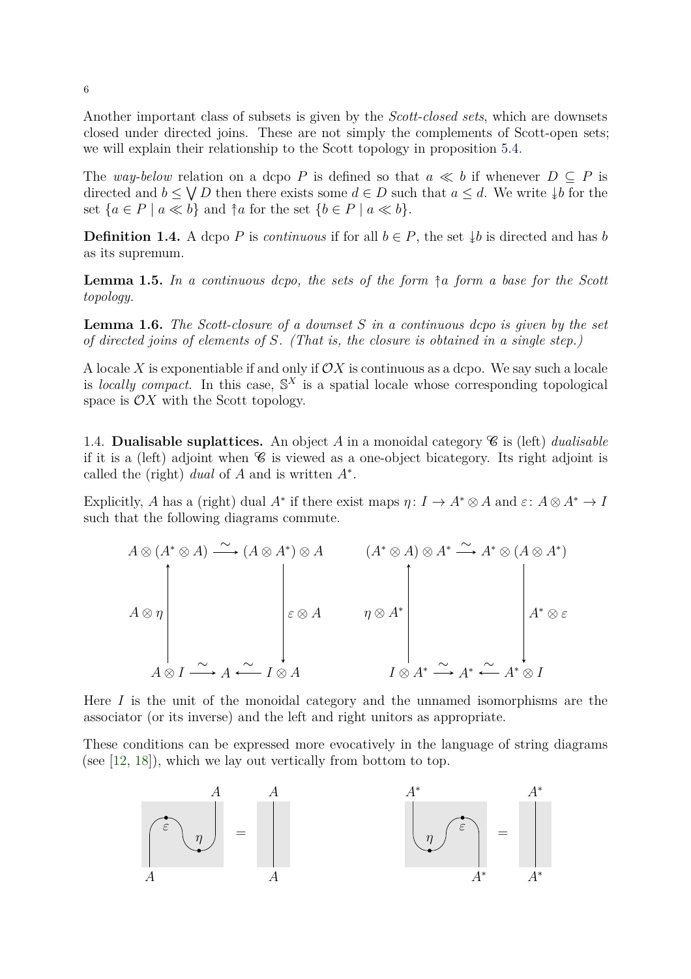Another important class of subsets is given by the *Scott-closed sets*, which are downsets closed under directed joins. These are not simply the complements of Scott-open sets; we will explain their relationship to the Scott topology in proposition [5.4.](#page-17-0)

The *way-below* relation on a dcpo P is defined so that  $a \ll b$  if whenever  $D \subseteq P$  is directed and  $b \leq \bigvee D$  then there exists some  $d \in D$  such that  $a \leq d$ . We write  $\downarrow b$  for the set  ${a \in P \mid a \ll b}$  and  ${\uparrow} a$  for the set  ${b \in P \mid a \ll b}$ .

<span id="page-5-0"></span>**Definition 1.4.** A dcpo P is *continuous* if for all  $b \in P$ , the set  $\downarrow b$  is directed and has b as its supremum.

<span id="page-5-1"></span>**Lemma 1.5.** In a continuous dcpo, the sets of the form  $\hat{\tau}$  a form a base for the Scott *topology.*

**Lemma 1.6.** *The Scott-closure of a downset* S *in a continuous dcpo is given by the set of directed joins of elements of* S*. (That is, the closure is obtained in a single step.)*

A locale X is exponentiable if and only if  $\mathcal{O}X$  is continuous as a dcpo. We say such a locale is *locally compact*. In this case,  $\mathbb{S}^X$  is a spatial locale whose corresponding topological space is  $\mathcal{O}X$  with the Scott topology.

1.4. **Dualisable suplattices.** An object A in a monoidal category  $\mathscr{C}$  is (left) *dualisable* if it is a (left) adjoint when  $\mathscr C$  is viewed as a one-object bicategory. Its right adjoint is called the (right) *dual* of  $A$  and is written  $A^*$ .

Explicitly, A has a (right) dual  $A^*$  if there exist maps  $\eta: I \to A^* \otimes A$  and  $\varepsilon: A \otimes A^* \to I$ such that the following diagrams commute.

$$
A \otimes (A^* \otimes A) \xrightarrow{\sim} (A \otimes A^*) \otimes A \qquad (A^* \otimes A) \otimes A^* \xrightarrow{\sim} A^* \otimes (A \otimes A^*)
$$
  

$$
\downarrow \varepsilon \otimes A \qquad \eta \otimes A^* \qquad \qquad A^* \otimes \varepsilon
$$
  

$$
A \otimes I \xrightarrow{\sim} A \xleftarrow{\sim} I \otimes A \qquad I \otimes A^* \xrightarrow{\sim} A^* \xleftarrow{\sim} A^* \otimes I
$$

Here  $I$  is the unit of the monoidal category and the unnamed isomorphisms are the associator (or its inverse) and the left and right unitors as appropriate.

These conditions can be expressed more evocatively in the language of string diagrams (see [\[12,](#page-21-11) [18\]](#page-21-12)), which we lay out vertically from bottom to top.

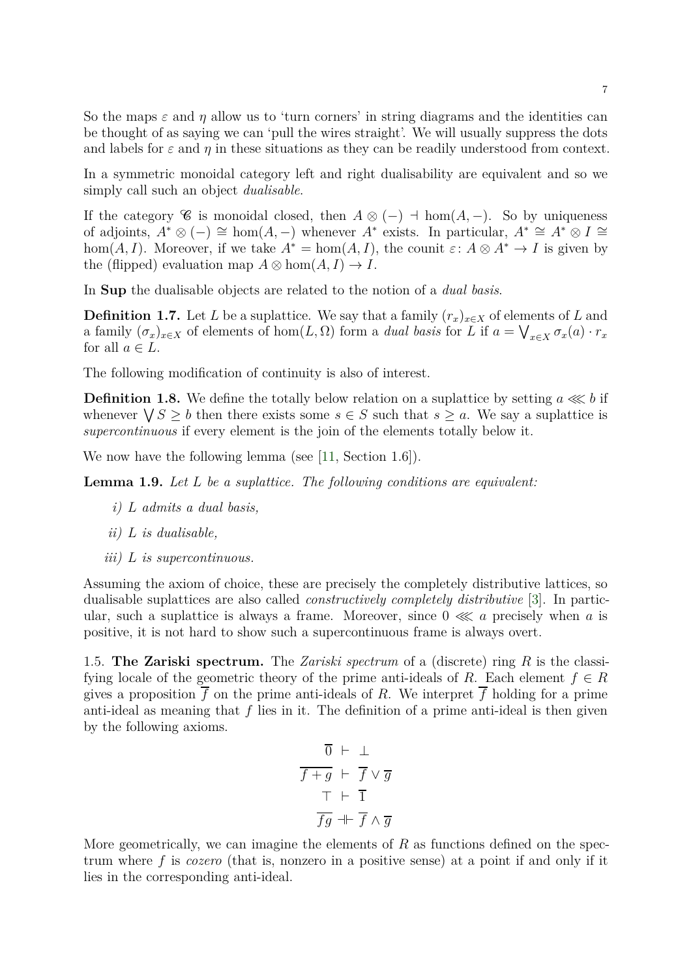So the maps  $\varepsilon$  and  $\eta$  allow us to 'turn corners' in string diagrams and the identities can be thought of as saying we can 'pull the wires straight'. We will usually suppress the dots and labels for  $\varepsilon$  and  $\eta$  in these situations as they can be readily understood from context.

In a symmetric monoidal category left and right dualisability are equivalent and so we simply call such an object *dualisable*.

If the category C is monoidal closed, then  $A \otimes (-) \dashv \text{hom}(A, -)$ . So by uniqueness of adjoints,  $A^* \otimes (-) \cong \text{hom}(A, -)$  whenever  $A^*$  exists. In particular,  $A^* \cong A^* \otimes I \cong$ hom(A, I). Moreover, if we take  $A^* = \text{hom}(A, I)$ , the counit  $\varepsilon: A \otimes A^* \to I$  is given by the (flipped) evaluation map  $A \otimes \text{hom}(A, I) \rightarrow I$ .

In Sup the dualisable objects are related to the notion of a *dual basis*.

**Definition 1.7.** Let L be a suplattice. We say that a family  $(r_x)_{x\in X}$  of elements of L and a family  $(\sigma_x)_{x\in X}$  of elements of hom $(L, \Omega)$  form a *dual basis* for L if  $a = \bigvee_{x\in X} \sigma_x(a) \cdot r_x$ for all  $a \in L$ .

The following modification of continuity is also of interest.

**Definition 1.8.** We define the totally below relation on a suplattice by setting  $a \lll b$  if whenever  $\bigvee S \geq b$  then there exists some  $s \in S$  such that  $s \geq a$ . We say a suplattice is *supercontinuous* if every element is the join of the elements totally below it.

We now have the following lemma (see [\[11,](#page-21-4) Section 1.6]).

**Lemma 1.9.** *Let* L *be a suplattice. The following conditions are equivalent:*

- <span id="page-6-0"></span>*i)* L *admits a dual basis,*
- *ii)* L *is dualisable,*
- *iii)* L *is supercontinuous.*

Assuming the axiom of choice, these are precisely the completely distributive lattices, so dualisable suplattices are also called *constructively completely distributive* [\[3\]](#page-21-13). In particular, such a suplattice is always a frame. Moreover, since  $0 \ll a$  precisely when a is positive, it is not hard to show such a supercontinuous frame is always overt.

1.5. **The Zariski spectrum.** The *Zariski spectrum* of a (discrete) ring R is the classifying locale of the geometric theory of the prime anti-ideals of R. Each element  $f \in R$ gives a proposition  $\overline{f}$  on the prime anti-ideals of R. We interpret  $\overline{f}$  holding for a prime anti-ideal as meaning that  $f$  lies in it. The definition of a prime anti-ideal is then given by the following axioms.

$$
\begin{array}{rcl}\n\overline{0} & \vdash & \bot \\
\hline\n\overline{f+g} & \vdash & \overline{f} \lor \overline{g} \\
\hline\n\overline{f} & \vdash & \overline{1} \\
\hline\n\overline{fg} & \dashv \vdash & \overline{f} \land \overline{g}\n\end{array}
$$

More geometrically, we can imagine the elements of  $R$  as functions defined on the spectrum where f is *cozero* (that is, nonzero in a positive sense) at a point if and only if it lies in the corresponding anti-ideal.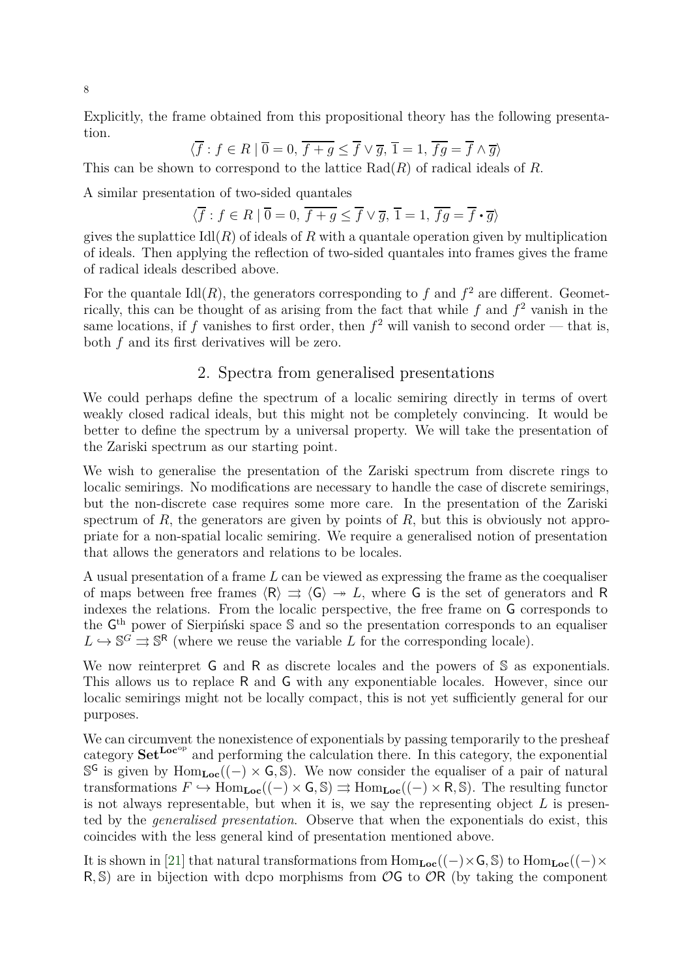Explicitly, the frame obtained from this propositional theory has the following presentation.

$$
\langle \overline{f} : f \in R \mid \overline{0} = 0, \overline{f + g} \le \overline{f} \vee \overline{g}, \overline{1} = 1, \overline{fg} = \overline{f} \wedge \overline{g} \rangle
$$

This can be shown to correspond to the lattice  $Rad(R)$  of radical ideals of R.

A similar presentation of two-sided quantales

$$
\langle \overline{f} : f \in R \mid \overline{0} = 0, \overline{f + g} \le \overline{f} \lor \overline{g}, \overline{1} = 1, \overline{fg} = \overline{f} \cdot \overline{g} \rangle
$$

gives the suplattice  $\text{Id}(R)$  of ideals of R with a quantale operation given by multiplication of ideals. Then applying the reflection of two-sided quantales into frames gives the frame of radical ideals described above.

For the quantale  $\text{Id}(R)$ , the generators corresponding to f and  $f^2$  are different. Geometrically, this can be thought of as arising from the fact that while  $f$  and  $f^2$  vanish in the same locations, if f vanishes to first order, then  $f^2$  will vanish to second order — that is, both f and its first derivatives will be zero.

#### 2. Spectra from generalised presentations

We could perhaps define the spectrum of a localic semiring directly in terms of overt weakly closed radical ideals, but this might not be completely convincing. It would be better to define the spectrum by a universal property. We will take the presentation of the Zariski spectrum as our starting point.

We wish to generalise the presentation of the Zariski spectrum from discrete rings to localic semirings. No modifications are necessary to handle the case of discrete semirings, but the non-discrete case requires some more care. In the presentation of the Zariski spectrum of  $R$ , the generators are given by points of  $R$ , but this is obviously not appropriate for a non-spatial localic semiring. We require a generalised notion of presentation that allows the generators and relations to be locales.

A usual presentation of a frame L can be viewed as expressing the frame as the coequaliser of maps between free frames  $\langle R \rangle \Rightarrow \langle G \rangle \rightarrow L$ , where G is the set of generators and R indexes the relations. From the localic perspective, the free frame on G corresponds to the G<sup>th</sup> power of Sierpiński space S and so the presentation corresponds to an equaliser  $L \hookrightarrow \mathbb{S}^G \rightrightarrows \mathbb{S}^R$  (where we reuse the variable L for the corresponding locale).

We now reinterpret G and R as discrete locales and the powers of S as exponentials. This allows us to replace R and G with any exponentiable locales. However, since our localic semirings might not be locally compact, this is not yet sufficiently general for our purposes.

We can circumvent the nonexistence of exponentials by passing temporarily to the presheaf category  $\textbf{Set}^{\textbf{Loc}^{op}}$  and performing the calculation there. In this category, the exponential S<sup>G</sup> is given by Hom<sub>Loc</sub>((−) × G, S). We now consider the equaliser of a pair of natural transformations  $F \hookrightarrow \text{Hom}_{\text{Loc}}((-) \times \text{G}, \mathbb{S}) \rightrightarrows \text{Hom}_{\text{Loc}}((-) \times \text{R}, \mathbb{S})$ . The resulting functor is not always representable, but when it is, we say the representing object  $L$  is presented by the *generalised presentation*. Observe that when the exponentials do exist, this coincides with the less general kind of presentation mentioned above.

It is shown in [\[21\]](#page-22-2) that natural transformations from  $Hom_{Loc}((-) \times G, \mathbb{S})$  to  $Hom_{Loc}((-) \times$ R, S) are in bijection with dcpo morphisms from  $\mathcal{O}G$  to  $\mathcal{O}R$  (by taking the component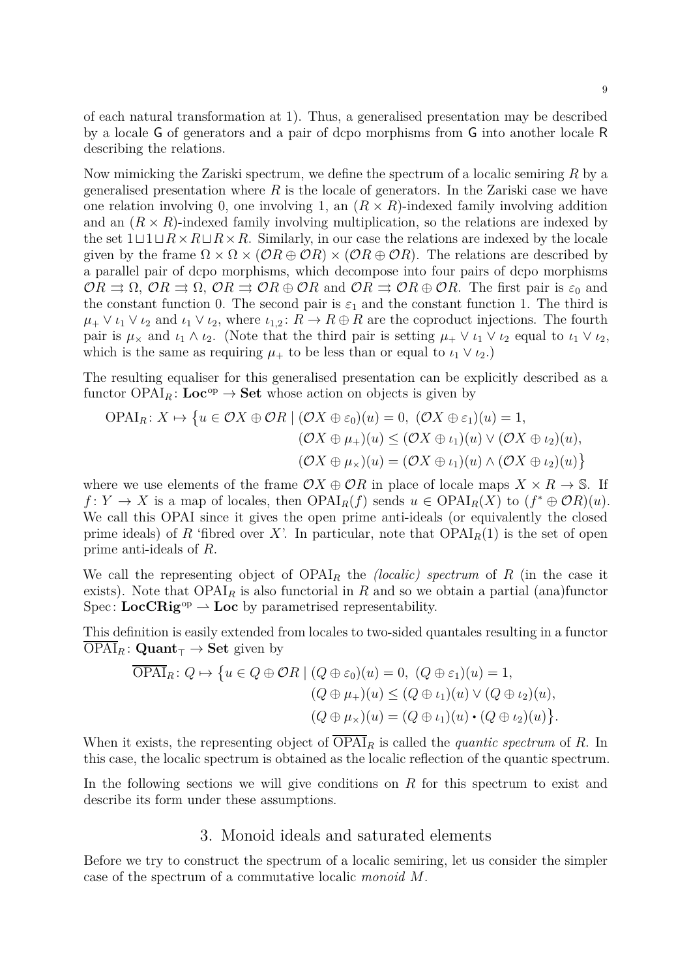of each natural transformation at 1). Thus, a generalised presentation may be described by a locale G of generators and a pair of dcpo morphisms from G into another locale R describing the relations.

Now mimicking the Zariski spectrum, we define the spectrum of a localic semiring R by a generalised presentation where  $R$  is the locale of generators. In the Zariski case we have one relation involving 0, one involving 1, an  $(R \times R)$ -indexed family involving addition and an  $(R \times R)$ -indexed family involving multiplication, so the relations are indexed by the set  $1\sqcup 1\sqcup R\times R\sqcup R\times R$ . Similarly, in our case the relations are indexed by the locale given by the frame  $\Omega \times \Omega \times (\mathcal{O}R \oplus \mathcal{O}R) \times (\mathcal{O}R \oplus \mathcal{O}R)$ . The relations are described by a parallel pair of dcpo morphisms, which decompose into four pairs of dcpo morphisms  $OR \rightrightarrows \Omega$ ,  $OR \rightrightarrows \Omega$ ,  $OR \rightrightarrows \mathcal{O}R \oplus \mathcal{O}R$  and  $OR \rightrightarrows \mathcal{O}R \oplus \mathcal{O}R$ . The first pair is  $\varepsilon_0$  and the constant function 0. The second pair is  $\varepsilon_1$  and the constant function 1. The third is  $\mu_+ \vee \iota_1 \vee \iota_2$  and  $\iota_1 \vee \iota_2$ , where  $\iota_{1,2} : R \to R \oplus R$  are the coproduct injections. The fourth pair is  $\mu_{\times}$  and  $\iota_1 \wedge \iota_2$ . (Note that the third pair is setting  $\mu_{+} \vee \iota_1 \vee \iota_2$  equal to  $\iota_1 \vee \iota_2$ , which is the same as requiring  $\mu_+$  to be less than or equal to  $\iota_1 \vee \iota_2$ .)

The resulting equaliser for this generalised presentation can be explicitly described as a functor  $OPAI<sub>R</sub>$ : Loc<sup>op</sup>  $\rightarrow$  Set whose action on objects is given by

$$
\text{OPAI}_{R}: X \mapsto \left\{ u \in \mathcal{O}X \oplus \mathcal{O}R \mid (\mathcal{O}X \oplus \varepsilon_{0})(u) = 0, \ (\mathcal{O}X \oplus \varepsilon_{1})(u) = 1, \\ (\mathcal{O}X \oplus \mu_{+})(u) \leq (\mathcal{O}X \oplus \iota_{1})(u) \vee (\mathcal{O}X \oplus \iota_{2})(u), \\ (\mathcal{O}X \oplus \mu_{\times})(u) = (\mathcal{O}X \oplus \iota_{1})(u) \wedge (\mathcal{O}X \oplus \iota_{2})(u) \right\}
$$

where we use elements of the frame  $\mathcal{O}X \oplus \mathcal{O}R$  in place of locale maps  $X \times R \to \mathbb{S}$ . If  $f: Y \to X$  is a map of locales, then  $OPAI_R(f)$  sends  $u \in OPAI_R(X)$  to  $(f^* \oplus \mathcal{O}R)(u)$ . We call this OPAI since it gives the open prime anti-ideals (or equivalently the closed prime ideals) of R 'fibred over X'. In particular, note that  $OPAI<sub>R</sub>(1)$  is the set of open prime anti-ideals of R.

We call the representing object of  $OPAI<sub>R</sub>$  the *(localic) spectrum* of R (in the case it exists). Note that  $OPAI<sub>R</sub>$  is also functorial in R and so we obtain a partial (ana)functor Spec:  $LocCRig^{op} \rightarrow Loc$  by parametrised representability.

This definition is easily extended from locales to two-sided quantales resulting in a functor  $OPAI_R:$  Quant<sub>⊤</sub>  $\rightarrow$  Set given by

$$
\overline{\text{OPAI}}_R\colon Q \mapsto \{u \in Q \oplus \mathcal{O}R \mid (Q \oplus \varepsilon_0)(u) = 0, \ (Q \oplus \varepsilon_1)(u) = 1, (Q \oplus \mu_+)(u) \leq (Q \oplus \iota_1)(u) \vee (Q \oplus \iota_2)(u), (Q \oplus \mu_\times)(u) = (Q \oplus \iota_1)(u) \cdot (Q \oplus \iota_2)(u)\}.
$$

When it exists, the representing object of  $\overline{OPAI}_R$  is called the *quantic spectrum* of R. In this case, the localic spectrum is obtained as the localic reflection of the quantic spectrum.

In the following sections we will give conditions on  $R$  for this spectrum to exist and describe its form under these assumptions.

#### 3. Monoid ideals and saturated elements

Before we try to construct the spectrum of a localic semiring, let us consider the simpler case of the spectrum of a commutative localic *monoid* M.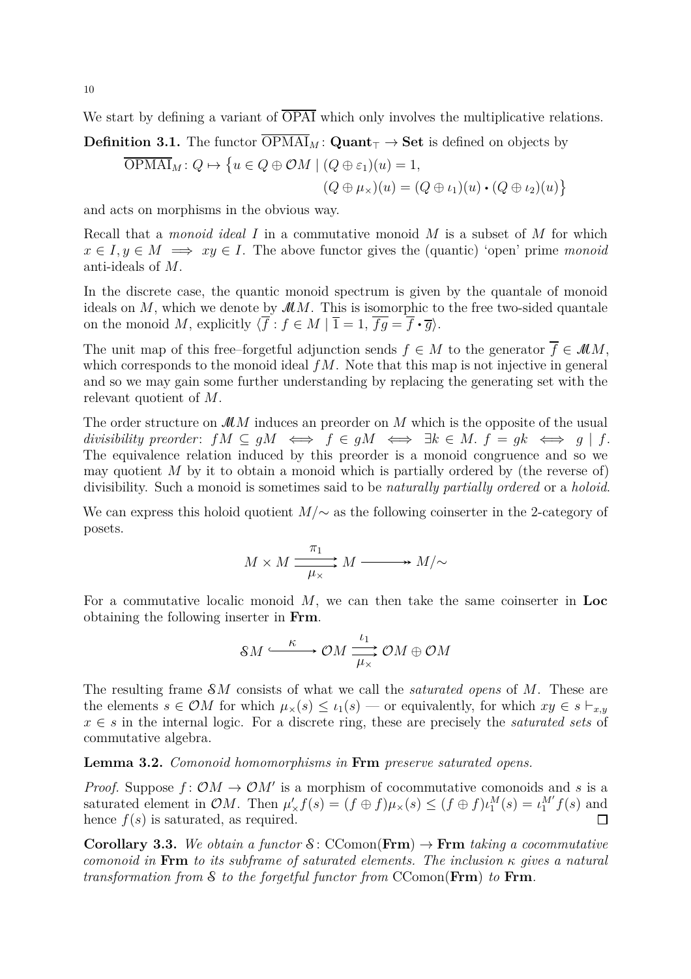We start by defining a variant of  $\overline{OPAI}$  which only involves the multiplicative relations.

**Definition 3.1.** The functor  $\overline{OPMAI}_M$ : **Quant**<sub>T</sub>  $\rightarrow$  **Set** is defined on objects by

$$
\overline{\text{OPMAI}}_M: Q \mapsto \left\{ u \in Q \oplus \mathcal{OM} \mid (Q \oplus \varepsilon_1)(u) = 1, \right.
$$
  

$$
(Q \oplus \mu_\times)(u) = (Q \oplus \iota_1)(u) \cdot (Q \oplus \iota_2)(u) \right\}
$$

and acts on morphisms in the obvious way.

Recall that a *monoid ideal* I in a commutative monoid M is a subset of M for which  $x \in I, y \in M \implies xy \in I$ . The above functor gives the (quantic) 'open' prime *monoid* anti-ideals of M.

In the discrete case, the quantic monoid spectrum is given by the quantale of monoid ideals on  $M$ , which we denote by  $MM$ . This is isomorphic to the free two-sided quantale on the monoid M, explicitly  $\langle \overline{f} : f \in M | \overline{1} = 1, \overline{fg} = \overline{f} \cdot \overline{g} \rangle$ .

The unit map of this free–forgetful adjunction sends  $f \in M$  to the generator  $\overline{f} \in M M$ , which corresponds to the monoid ideal  $fM$ . Note that this map is not injective in general and so we may gain some further understanding by replacing the generating set with the relevant quotient of M.

The order structure on  $MM$  induces an preorder on M which is the opposite of the usual *divisibility preorder*:  $fM \subseteq qM \iff f \in qM \iff \exists k \in M$ .  $f = qk \iff q \mid f$ . The equivalence relation induced by this preorder is a monoid congruence and so we may quotient  $M$  by it to obtain a monoid which is partially ordered by (the reverse of) divisibility. Such a monoid is sometimes said to be *naturally partially ordered* or a *holoid*.

We can express this holoid quotient  $M/\sim$  as the following coinserter in the 2-category of posets.

$$
M \times M \xrightarrow{\pi_1} M \xrightarrow{\pi_2} M/\sim
$$

For a commutative localic monoid  $M$ , we can then take the same coinserter in Loc obtaining the following inserter in Frm.

$$
\mathcal{S}M \xrightarrow{\kappa} \mathcal{O}M \xrightarrow{\iota_1} \mathcal{O}M \oplus \mathcal{O}M
$$

The resulting frame SM consists of what we call the *saturated opens* of M. These are the elements  $s \in \mathcal{O}M$  for which  $\mu_{\times}(s) \leq \iota_1(s)$  — or equivalently, for which  $xy \in s \vdash_{x,y}$ x ∈ s in the internal logic. For a discrete ring, these are precisely the *saturated sets* of commutative algebra.

<span id="page-9-0"></span>**Lemma 3.2.** *Comonoid homomorphisms in* Frm *preserve saturated opens.*

*Proof.* Suppose  $f: OM \to OM'$  is a morphism of cocommutative comonoids and s is a saturated element in OM. Then  $\mu'_{\times} f(s) = (f \oplus f) \mu_{\times}(s) \leq (f \oplus f) \iota_1^M(s) = \iota_1^M f(s)$  and hence  $f(s)$  is saturated, as required.  $\Box$ 

**Corollary 3.3.** We obtain a functor  $\mathcal{S}$ : CComon(Frm)  $\rightarrow$  Frm taking a cocommutative *comonoid in* Frm *to its subframe of saturated elements. The inclusion* κ *gives a natural transformation from* S *to the forgetful functor from* CComon(Frm) *to* Frm*.*

10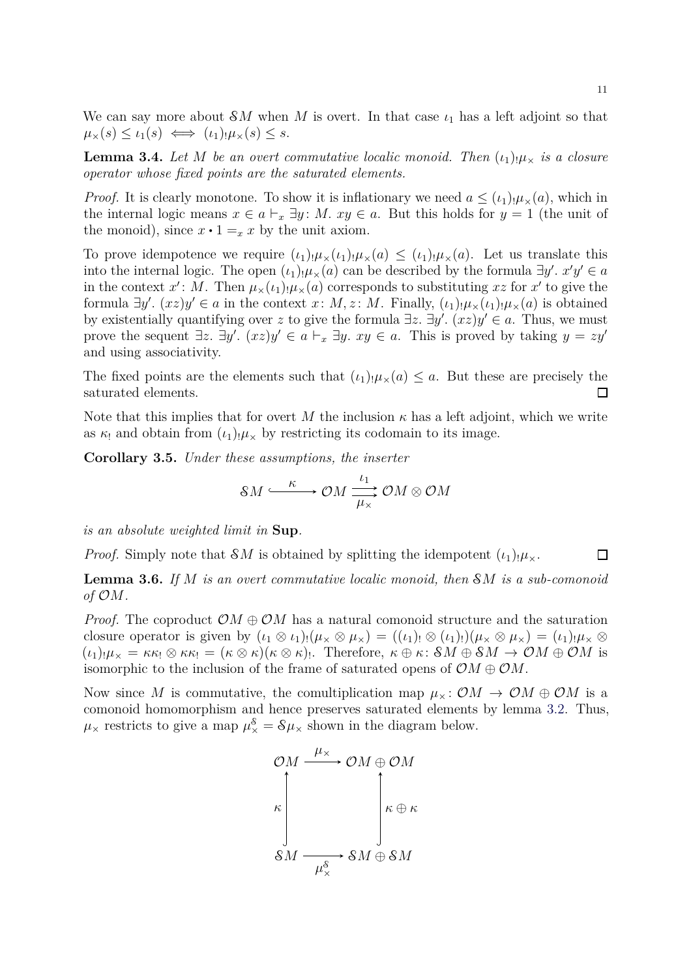We can say more about  $\mathcal{S}M$  when M is overt. In that case  $\iota_1$  has a left adjoint so that  $\mu_{\times}(s) \leq \iota_1(s) \iff (\iota_1)_{!}\mu_{\times}(s) \leq s.$ 

**Lemma 3.4.** Let M be an overt commutative localic monoid. Then  $(\iota_1)_{\mu}$  is a closure *operator whose fixed points are the saturated elements.*

*Proof.* It is clearly monotone. To show it is inflationary we need  $a \leq (\iota_1) \mu_\times(a)$ , which in the internal logic means  $x \in a \vdash_x \exists y$ : M.  $xy \in a$ . But this holds for  $y = 1$  (the unit of the monoid), since  $x \cdot 1 = x$  by the unit axiom.

To prove idempotence we require  $(\iota_1)_{!}\mu_{\times}(\iota_1)_{!}\mu_{\times}(a) \leq (\iota_1)_{!}\mu_{\times}(a)$ . Let us translate this into the internal logic. The open  $(\iota_1) \cdot \mu_*(a)$  can be described by the formula  $\exists y'$ .  $x'y' \in a$ in the context  $x'$ : M. Then  $\mu_\times(\iota_1)\mu_\times(a)$  corresponds to substituting  $xz$  for  $x'$  to give the formula  $\exists y'$ .  $(xz)y' \in a$  in the context  $x: M, z: M$ . Finally,  $(\iota_1)_{!}\mu_*(\iota_1)_{!}\mu_*(a)$  is obtained by existentially quantifying over z to give the formula  $\exists z$ .  $\exists y'$ .  $(xz)y' \in a$ . Thus, we must prove the sequent  $\exists z$ .  $\exists y'$ .  $(xz)y' \in a \vdash_x \exists y$ .  $xy \in a$ . This is proved by taking  $y = zy'$ and using associativity.

The fixed points are the elements such that  $(\iota_1)_{!}\mu_{\times}(a) \leq a$ . But these are precisely the saturated elements.  $\Box$ 

Note that this implies that for overt M the inclusion  $\kappa$  has a left adjoint, which we write as  $\kappa_1$  and obtain from  $(\iota_1)_{,\mu}\times$  by restricting its codomain to its image.

**Corollary 3.5.** *Under these assumptions, the inserter*

$$
\mathcal{S}M \xrightarrow{\kappa} \mathcal{O}M \xrightarrow{\iota_1} \mathcal{O}M \otimes \mathcal{O}M
$$

*is an absolute weighted limit in* Sup*.*

 $\Box$ *Proof.* Simply note that SM is obtained by splitting the idempotent  $(\iota_1)_{\mu_\chi}$ .

**Lemma 3.6.** *If* M *is an overt commutative localic monoid, then* SM *is a sub-comonoid of* OM*.*

*Proof.* The coproduct  $\mathcal{O}M \oplus \mathcal{O}M$  has a natural comonoid structure and the saturation closure operator is given by  $(\iota_1 \otimes \iota_1)_! (\mu \otimes \mu \otimes \mu \otimes \iota_1)_! (\mu \otimes (\iota_1)_!) (\mu \otimes \mu \otimes \mu \otimes \iota_2) = (\iota_1)_! \mu \otimes \iota_2$  $(\iota_1)_{!}\mu_{\times} = \kappa \kappa_! \otimes \kappa \kappa_! = (\kappa \otimes \kappa)(\kappa \otimes \kappa)_!$ . Therefore,  $\kappa \oplus \kappa_! \mathcal{S}M \oplus \mathcal{S}M \to \mathcal{O}M \oplus \mathcal{O}M$  is isomorphic to the inclusion of the frame of saturated opens of  $\mathcal{O}M \oplus \mathcal{O}M$ .

Now since M is commutative, the comultiplication map  $\mu_{\times} : \mathcal{O}M \to \mathcal{O}M \oplus \mathcal{O}M$  is a comonoid homomorphism and hence preserves saturated elements by lemma [3.2.](#page-9-0) Thus,  $\mu_{\times}$  restricts to give a map  $\mu_{\times}^{\mathcal{S}} = \mathcal{S}\mu_{\times}$  shown in the diagram below.

$$
\begin{array}{c}\n\mathcal{O}M \xrightarrow{\mu_{\times}} \mathcal{O}M \oplus \mathcal{O}M \\
\kappa \downarrow \\
\mathcal{S}M \xrightarrow{\mu_{\times}^{\mathcal{S}}} \mathcal{S}M \oplus \mathcal{S}M\n\end{array}
$$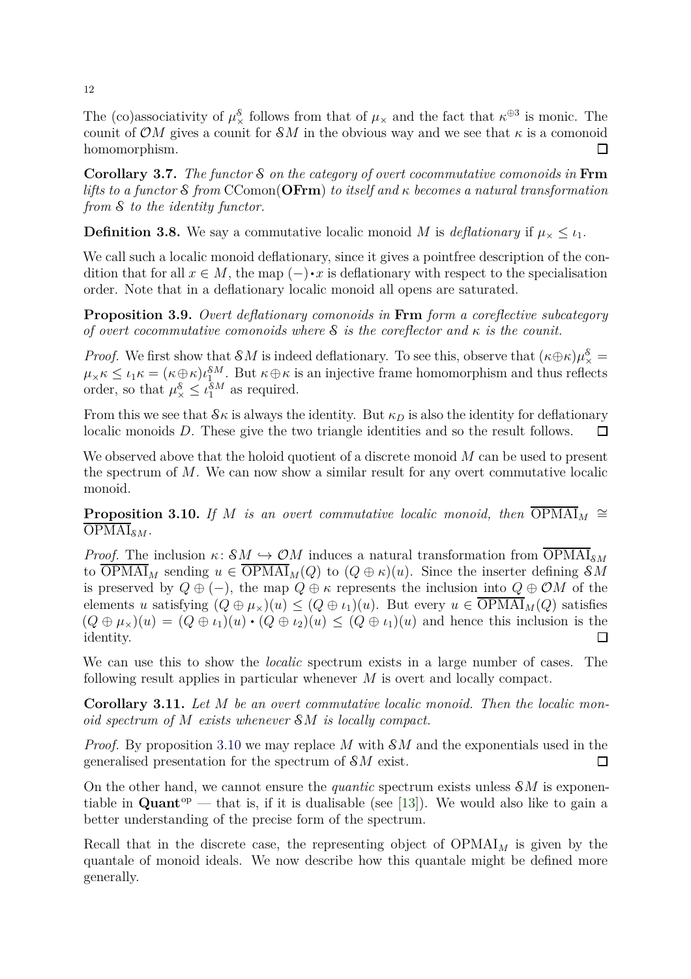The (co)associativity of  $\mu^{\mathcal{S}}_{\times}$  follows from that of  $\mu_{\times}$  and the fact that  $\kappa^{\oplus 3}$  is monic. The counit of OM gives a counit for  $\mathcal{S}M$  in the obvious way and we see that  $\kappa$  is a comonoid homomorphism.  $\Box$ 

**Corollary 3.7.** *The functor* S*on the category of overt cocommutative comonoids in* Frm *lifts to a functor* S*from* CComon(OFrm) *to itself and* κ *becomes a natural transformation from* S *to the identity functor.*

**Definition 3.8.** We say a commutative localic monoid M is *deflationary* if  $\mu_{\times} \leq \iota_1$ .

We call such a localic monoid deflationary, since it gives a point free description of the condition that for all  $x \in M$ , the map  $(-)\cdot x$  is deflationary with respect to the specialisation order. Note that in a deflationary localic monoid all opens are saturated.

**Proposition 3.9.** *Overt deflationary comonoids in* Frm *form a coreflective subcategory of overt cocommutative comonoids where* S *is the coreflector and* κ *is the counit.*

*Proof.* We first show that  $\mathcal{S}M$  is indeed deflationary. To see this, observe that  $(\kappa \oplus \kappa)\mu^{\mathcal{S}}_{\times} =$  $\mu_{\times} \kappa \leq \iota_1 \kappa = (\kappa \oplus \kappa) \iota_1^{\mathcal{S}M}$ . But  $\kappa \oplus \kappa$  is an injective frame homomorphism and thus reflects order, so that  $\mu_{\times}^{\mathcal{S}} \leq \iota_1^{\mathcal{S}M}$  as required.

From this we see that  $\mathcal{S}\kappa$  is always the identity. But  $\kappa_D$  is also the identity for deflationary localic monoids D. These give the two triangle identities and so the result follows. П

We observed above that the holoid quotient of a discrete monoid  $M$  can be used to present the spectrum of M. We can now show a similar result for any overt commutative localic monoid.

<span id="page-11-0"></span>**Proposition 3.10.** *If* M *is an overt commutative localic monoid, then*  $\overline{OPMAI}_M \cong$  $\overline{\text{OPM}}\text{Al}_{\mathcal{S}M}$ .

*Proof.* The inclusion  $\kappa: SM \hookrightarrow OM$  induces a natural transformation from  $\overline{OPMAI}_{\delta M}$ to  $\overline{\text{OPMAI}}_M$  sending  $u \in \overline{\text{OPMAI}}_M(Q)$  to  $(Q \oplus \kappa)(u)$ . Since the inserter defining  $\mathcal{S}M$ is preserved by  $Q \oplus (-)$ , the map  $Q \oplus \kappa$  represents the inclusion into  $Q \oplus \mathcal{O}M$  of the elements u satisfying  $(Q \oplus \mu_\times)(u) \leq (Q \oplus \iota_1)(u)$ . But every  $u \in \overline{\text{OPMAI}}_M(Q)$  satisfies  $(Q \oplus \mu_X)(u) = (Q \oplus \iota_1)(u) \cdot (Q \oplus \iota_2)(u) \leq (Q \oplus \iota_1)(u)$  and hence this inclusion is the identity.  $\Box$ 

<span id="page-11-1"></span>We can use this to show the *localic* spectrum exists in a large number of cases. The following result applies in particular whenever M is overt and locally compact.

**Corollary 3.11.** *Let* M *be an overt commutative localic monoid. Then the localic monoid spectrum of* M *exists whenever* SM *is locally compact.*

*Proof.* By proposition [3.10](#page-11-0) we may replace M with  $\mathcal{S}M$  and the exponentials used in the generalised presentation for the spectrum of SM exist.  $\Box$ 

On the other hand, we cannot ensure the *quantic* spectrum exists unless SM is exponentiable in **Quant**<sup>op</sup> — that is, if it is dualisable (see [\[13\]](#page-21-14)). We would also like to gain a better understanding of the precise form of the spectrum.

Recall that in the discrete case, the representing object of  $OPMAI_M$  is given by the quantale of monoid ideals. We now describe how this quantale might be defined more generally.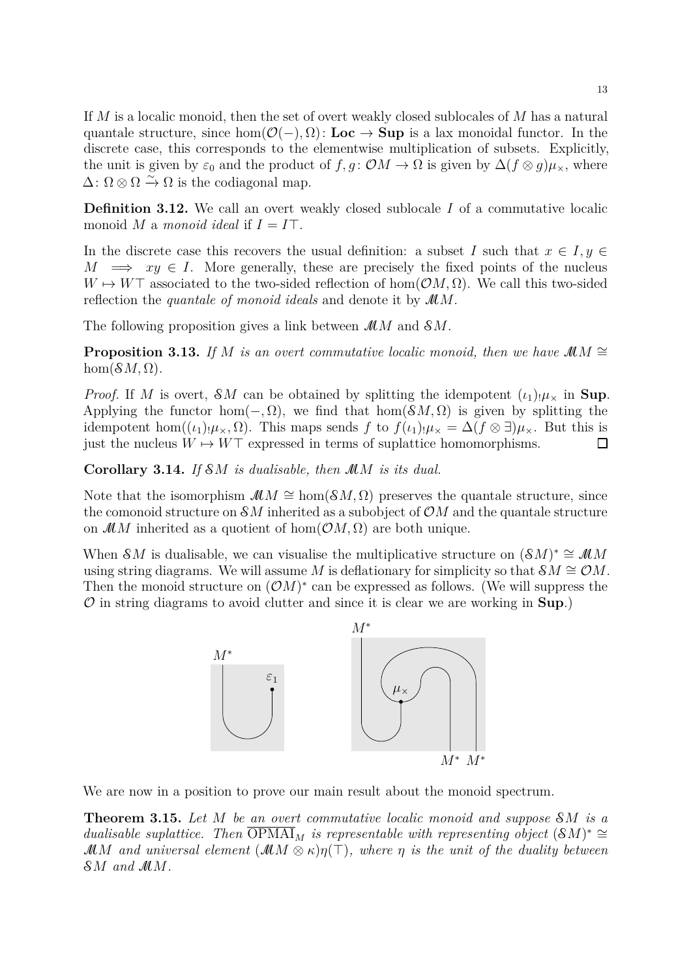If M is a localic monoid, then the set of overt weakly closed sublocales of M has a natural quantale structure, since hom $(\mathcal{O}(-), \Omega)$ : Loc  $\rightarrow$  Sup is a lax monoidal functor. In the discrete case, this corresponds to the elementwise multiplication of subsets. Explicitly, the unit is given by  $\varepsilon_0$  and the product of  $f, g: \mathcal{O}M \to \Omega$  is given by  $\Delta(f \otimes g)\mu_{\times}$ , where  $\Delta$ :  $\Omega \otimes \Omega \xrightarrow{\sim} \Omega$  is the codiagonal map.

**Definition 3.12.** We call an overt weakly closed sublocale I of a commutative localic monoid M a *monoid ideal* if  $I = I\top$ .

In the discrete case this recovers the usual definition: a subset I such that  $x \in I, y \in$  $M \implies xy \in I$ . More generally, these are precisely the fixed points of the nucleus  $W \mapsto W\top$  associated to the two-sided reflection of hom $(\mathcal{O}M, \Omega)$ . We call this two-sided reflection the *quantale of monoid ideals* and denote it by MM.

The following proposition gives a link between  $MM$  and  $\mathcal{S}M$ .

**Proposition 3.13.** *If* M *is an overt commutative localic monoid, then we have*  $\mathcal{M}M \cong$  $hom(\mathcal{S}M,\Omega)$ .

*Proof.* If M is overt, SM can be obtained by splitting the idempotent  $(\iota_1)_{!}\mu_{\times}$  in Sup. Applying the functor hom( $-$ ,  $\Omega$ ), we find that hom( $\mathcal{S}M$ ,  $\Omega$ ) is given by splitting the idempotent hom( $(\iota_1)_{\mu_x}, \Omega$ ). This maps sends f to  $f(\iota_1)_{\mu_x} = \Delta(f \otimes \exists) \mu_x$ . But this is just the nucleus  $W \mapsto W\top$  expressed in terms of suplattice homomorphisms.  $\Box$ 

**Corollary 3.14.** *If* SM *is dualisable, then* MM *is its dual.*

Note that the isomorphism  $\mathcal{M}M \cong \text{hom}(\mathcal{S}M,\Omega)$  preserves the quantale structure, since the comonoid structure on  $\mathcal{S}M$  inherited as a subobject of  $\mathcal{O}M$  and the quantale structure on  $\mathcal{M}M$  inherited as a quotient of hom $(\mathcal{O}M, \Omega)$  are both unique.

When SM is dualisable, we can visualise the multiplicative structure on  $(SM)^* \cong \mathcal{M}M$ using string diagrams. We will assume M is deflationary for simplicity so that  $\mathcal{S}M \cong \mathcal{O}M$ . Then the monoid structure on  $(\mathcal{O}M)^*$  can be expressed as follows. (We will suppress the  $\mathcal O$  in string diagrams to avoid clutter and since it is clear we are working in  $\text{Supp.}}$ 

<span id="page-12-0"></span>

We are now in a position to prove our main result about the monoid spectrum.

**Theorem 3.15.** *Let* M *be an overt commutative localic monoid and suppose* SM *is a dualisable suplattice.* Then  $\overline{OPMAI}_M$  is representable with representing object  $(SM)^* \cong$ MM and universal element  $(\mathcal{M} \otimes \kappa) \eta(\top)$ , where  $\eta$  is the unit of the duality between SM *and* MM*.*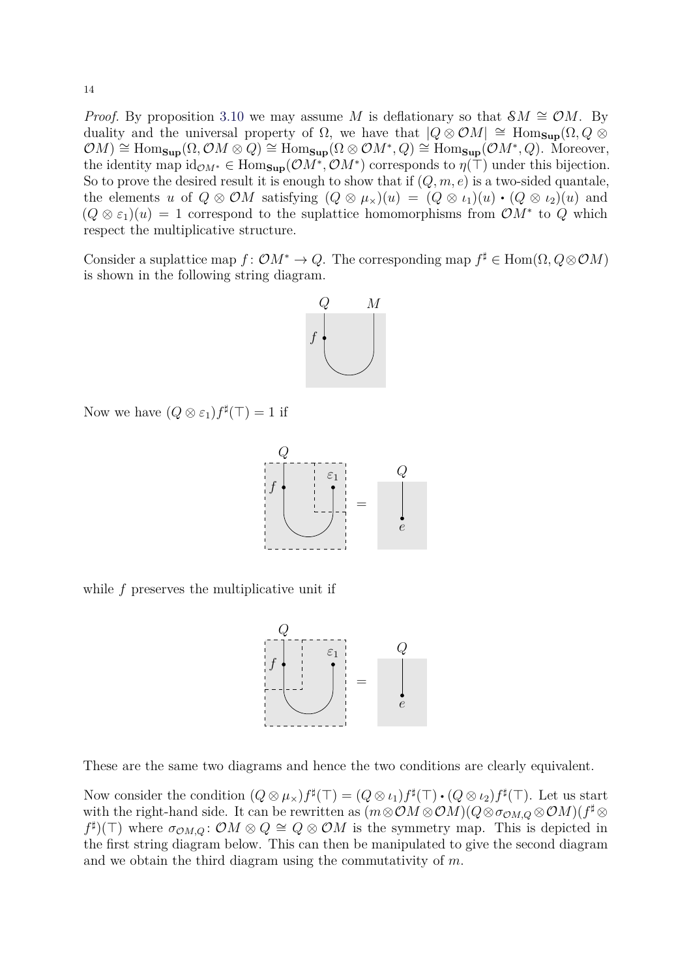*Proof.* By proposition [3.10](#page-11-0) we may assume M is deflationary so that  $\mathcal{S}M \cong \mathcal{O}M$ . By duality and the universal property of  $\Omega$ , we have that  $|Q \otimes \mathcal{O}M| \cong \text{Hom}_{\text{Sup}}(\Omega, Q \otimes$  $(\mathcal{O}M) \cong \text{Hom}_{\textbf{Sup}}(\Omega, \mathcal{O}M \otimes Q) \cong \text{Hom}_{\textbf{Sup}}(\Omega \otimes \mathcal{O}M^*,Q) \cong \text{Hom}_{\textbf{Sup}}(\mathcal{O}M^*,Q)$ . Moreover, the identity map  $\mathrm{id}_{\mathcal{O}M^*} \in \mathrm{Hom}_{\mathbf{Sup}}(\mathcal{O}M^*, \mathcal{O}M^*)$  corresponds to  $\eta(\top)$  under this bijection. So to prove the desired result it is enough to show that if  $(Q, m, e)$  is a two-sided quantale, the elements u of  $Q \otimes \mathcal{O}M$  satisfying  $(Q \otimes \mu_{\times})(u) = (Q \otimes \nu_1)(u) \cdot (Q \otimes \nu_2)(u)$  and  $(Q \otimes \varepsilon_1)(u) = 1$  correspond to the suplattice homomorphisms from  $\mathcal{O}M^*$  to  $Q$  which respect the multiplicative structure.

Consider a suplattice map  $f: \mathcal{O}M^* \to Q$ . The corresponding map  $f^{\sharp} \in \text{Hom}(\Omega, Q \otimes \mathcal{O}M)$ is shown in the following string diagram.



Now we have  $(Q \otimes \varepsilon_1) f^{\sharp}(\top) = 1$  if



while f preserves the multiplicative unit if



These are the same two diagrams and hence the two conditions are clearly equivalent.

Now consider the condition  $(Q \otimes \mu_X) f^{\sharp}(\top) = (Q \otimes \iota_1) f^{\sharp}(\top) \cdot (Q \otimes \iota_2) f^{\sharp}(\top)$ . Let us start with the right-hand side. It can be rewritten as  $(m \otimes \mathcal{O}M) \otimes \mathcal{O}M) (Q \otimes \sigma_{\mathcal{O}M,Q} \otimes \mathcal{O}M) (f^{\sharp} \otimes$  $f^{\sharp}(\top)$  where  $\sigma_{\mathcal{O}M,Q}$ :  $\mathcal{O}M \otimes Q \cong Q \otimes \mathcal{O}M$  is the symmetry map. This is depicted in the first string diagram below. This can then be manipulated to give the second diagram and we obtain the third diagram using the commutativity of m.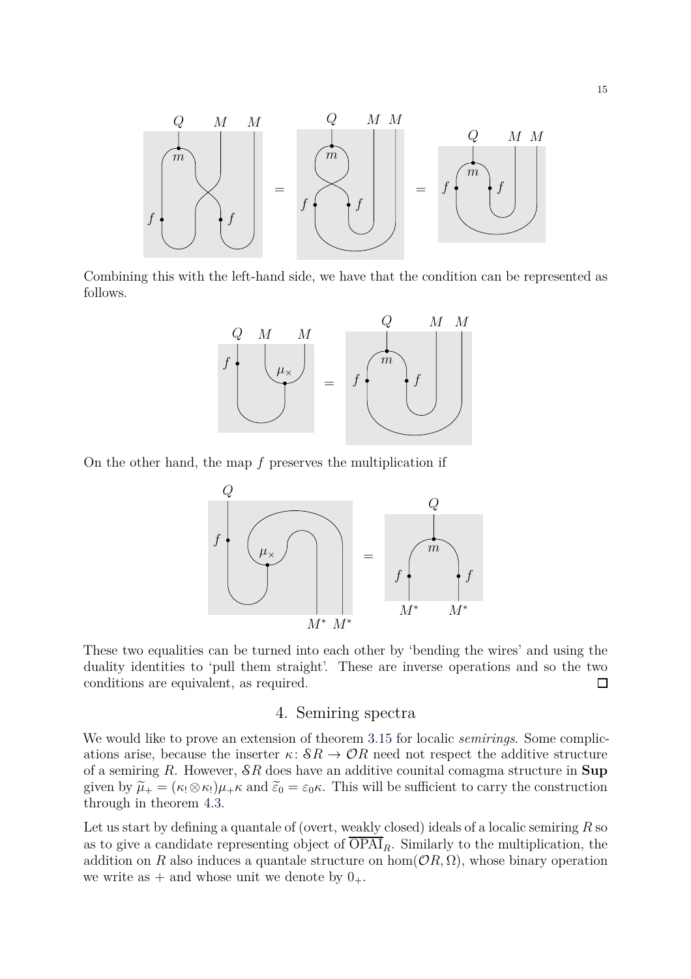

Combining this with the left-hand side, we have that the condition can be represented as follows.



On the other hand, the map  $f$  preserves the multiplication if



These two equalities can be turned into each other by 'bending the wires' and using the duality identities to 'pull them straight'. These are inverse operations and so the two conditions are equivalent, as required.  $\Box$ 

#### 4. Semiring spectra

We would like to prove an extension of theorem [3.15](#page-12-0) for localic *semirings*. Some complications arise, because the inserter  $\kappa: \mathcal{S}R \to \mathcal{O}R$  need not respect the additive structure of a semiring  $R$ . However,  $\mathcal{S}R$  does have an additive counital comagma structure in Sup given by  $\tilde{\mu}_+ = (\kappa_1 \otimes \kappa_1)\mu_+ \kappa$  and  $\tilde{\epsilon}_0 = \epsilon_0 \kappa$ . This will be sufficient to carry the construction through in theorem [4.3.](#page-15-0)

Let us start by defining a quantale of (overt, weakly closed) ideals of a localic semiring  $R$  so as to give a candidate representing object of  $\overline{OPAI}_R$ . Similarly to the multiplication, the addition on R also induces a quantale structure on hom $(\mathcal{O}R, \Omega)$ , whose binary operation we write as  $+$  and whose unit we denote by  $0_+$ .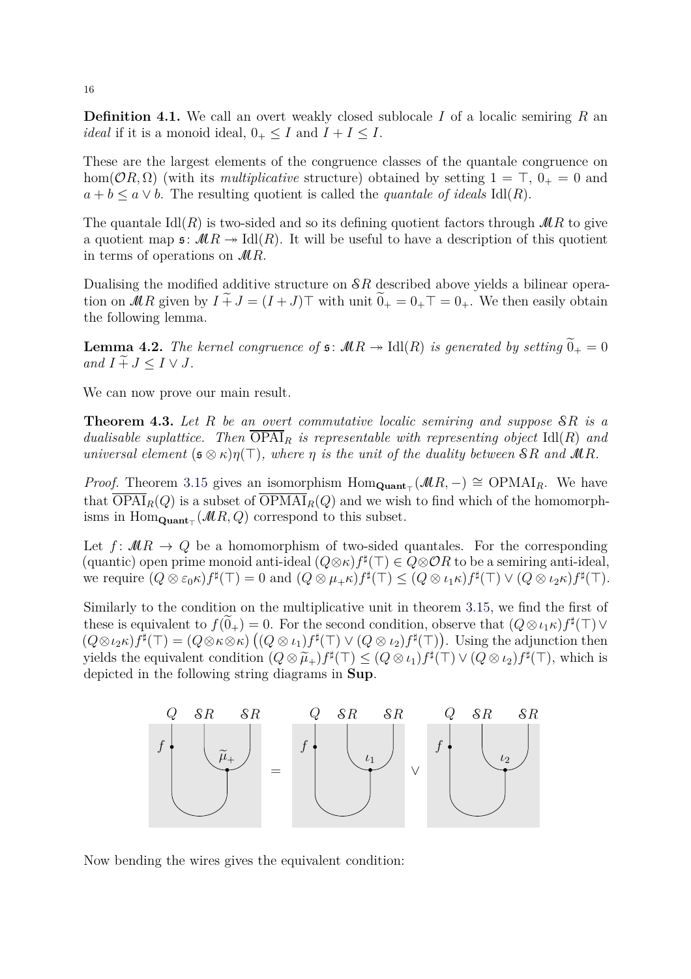**Definition 4.1.** We call an overt weakly closed sublocale I of a localic semiring R an *ideal* if it is a monoid ideal,  $0_+ \leq I$  and  $I + I \leq I$ .

These are the largest elements of the congruence classes of the quantale congruence on hom( $\mathcal{O}(R, \Omega)$ ) (with its *multiplicative* structure) obtained by setting  $1 = \top$ ,  $0_{+} = 0$  and  $a + b \leq a \vee b$ . The resulting quotient is called the *quantale of ideals* Idl(R).

The quantale  $\text{Id}(R)$  is two-sided and so its defining quotient factors through  $\mathcal{M}R$  to give a quotient map  $\mathfrak{s}: \mathcal{M}R \to \text{Id}(R)$ . It will be useful to have a description of this quotient in terms of operations on  $MR$ .

<span id="page-15-1"></span>Dualising the modified additive structure on SR described above yields a bilinear operation on MR given by  $I \tilde{+} J = (I + J) \top$  with unit  $\tilde{0}_{+} = 0_{+} \top = 0_{+}$ . We then easily obtain the following lemma.

**Lemma 4.2.** *The kernel congruence of*  $\mathfrak{s}: \mathcal{M}R \to \text{Idl}(R)$  *is generated by setting*  $\widetilde{0}_{+} = 0$ *and*  $I \nightharpoonup I \leq J \leq I \vee J$ .

<span id="page-15-0"></span>We can now prove our main result.

**Theorem 4.3.** *Let* R *be an overt commutative localic semiring and suppose* SR *is a dualisable suplattice.* Then  $\overline{OPAI}_R$  *is representable with representing object* Idl(R) and *universal element*  $(\mathfrak{s} \otimes \kappa)\eta(\top)$ *, where*  $\eta$  *is the unit of the duality between*  $\mathcal{S}R$  *and*  $\mathcal{M}R$ *.* 

*Proof.* Theorem [3.15](#page-12-0) gives an isomorphism  $Hom_{\text{Quant}_{\top}}(\mathcal{M}R, -) \cong OPMAI_R$ . We have that  $\overline{OPAI}_R(Q)$  is a subset of  $\overline{OPMAI}_R(Q)$  and we wish to find which of the homomorphisms in  $Hom_{\mathbf{Quant}_{\top}}(\mathcal{M}R,Q)$  correspond to this subset.

Let  $f: MR \to Q$  be a homomorphism of two-sided quantales. For the corresponding (quantic) open prime monoid anti-ideal  $(Q \otimes \kappa) f^{\sharp}(\top) \in Q \otimes \mathcal{O}R$  to be a semiring anti-ideal, we require  $(Q \otimes \varepsilon_0 \kappa) f^{\sharp}(\top) = 0$  and  $(Q \otimes \mu_+ \kappa) f^{\sharp}(\top) \leq (Q \otimes \iota_1 \kappa) f^{\sharp}(\top) \vee (Q \otimes \iota_2 \kappa) f^{\sharp}(\top)$ .

Similarly to the condition on the multiplicative unit in theorem [3.15,](#page-12-0) we find the first of these is equivalent to  $f(\widetilde{0}_+) = 0$ . For the second condition, observe that  $(Q \otimes \iota_1 \kappa) f^{\sharp}(\top) \vee$  $(Q \otimes \iota_2 \kappa) f^{\sharp}(\top) = (Q \otimes \kappa \otimes \kappa) ((Q \otimes \iota_1) f^{\sharp}(\top) \vee (Q \otimes \iota_2) f^{\sharp}(\top)).$  Using the adjunction then yields the equivalent condition  $(Q \otimes \tilde{\mu}_+) f^{\sharp}(\top) \leq (Q \otimes \iota_1) f^{\sharp}(\top) \vee (Q \otimes \iota_2) f^{\sharp}(\top)$ , which is depicted in the following string diagrams in Sup.



Now bending the wires gives the equivalent condition: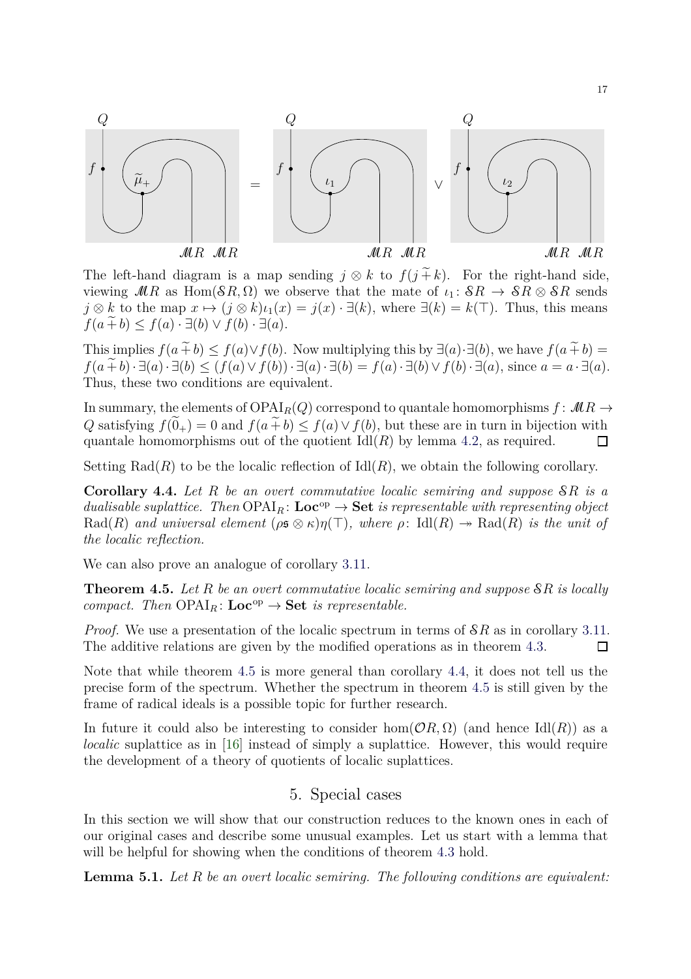

The left-hand diagram is a map sending  $j \otimes k$  to  $f(j \tilde{+} k)$ . For the right-hand side, viewing  $MR$  as  $Hom(\mathcal{S}R,\Omega)$  we observe that the mate of  $\iota_1: \mathcal{S}R \to \mathcal{S}R \otimes \mathcal{S}R$  sends  $j \otimes k$  to the map  $x \mapsto (j \otimes k)\iota_1(x) = j(x) \cdot \exists (k)$ , where  $\exists (k) = k(\top)$ . Thus, this means  $f(a \tilde{+} b) \leq f(a) \cdot \exists (b) \vee f(b) \cdot \exists (a).$ 

This implies  $f(a \tilde{+} b) \leq f(a) \vee f(b)$ . Now multiplying this by  $\exists (a) \cdot \exists (b)$ , we have  $f(a \tilde{+} b)$  =  $f(a \widetilde{+} b) \cdot \exists (a) \cdot \exists (b) \leq (f(a) \vee f(b)) \cdot \exists (a) \cdot \exists (b) = f(a) \cdot \exists (b) \vee f(b) \cdot \exists (a)$ , since  $a = a \cdot \exists (a)$ . Thus, these two conditions are equivalent.

In summary, the elements of  $OPAI<sub>R</sub>(Q)$  correspond to quantale homomorphisms  $f: MR \rightarrow$ Q satisfying  $f(\tilde{0}_+) = 0$  and  $f(a \tilde{+} b) \leq f(a) \vee f(b)$ , but these are in turn in bijection with quantale homomorphisms out of the quotient Idl(R) by lemma 4.2, as required. quantale homomorphisms out of the quotient  $\text{Id}(R)$  by lemma [4.2,](#page-15-1) as required.

<span id="page-16-1"></span>Setting  $Rad(R)$  to be the localic reflection of  $Id(R)$ , we obtain the following corollary.

**Corollary 4.4.** *Let* R *be an overt commutative localic semiring and suppose* SR *is a dualisable suplattice. Then*  $OPAI<sub>B</sub>$ :  $Loc<sup>op</sup> \rightarrow Set$  *is representable with representing object* Rad(R) and universal element ( $\rho \in \mathcal{B}(\pi)$ ), where  $\rho: \text{Id}(R) \to \text{Rad}(R)$  is the unit of *the localic reflection.*

We can also prove an analogue of corollary [3.11.](#page-11-1)

**Theorem 4.5.** *Let* R *be an overt commutative localic semiring and suppose* SR *is locally compact. Then*  $OPAI<sub>R</sub>$ :  $Loc<sup>op</sup> \rightarrow Set$  *is representable.* 

*Proof.* We use a presentation of the localic spectrum in terms of  $\mathcal{S}R$  as in corollary [3.11.](#page-11-1) The additive relations are given by the modified operations as in theorem [4.3.](#page-15-0)  $\Box$ 

Note that while theorem [4.5](#page-16-0) is more general than corollary [4.4,](#page-16-1) it does not tell us the precise form of the spectrum. Whether the spectrum in theorem [4.5](#page-16-0) is still given by the frame of radical ideals is a possible topic for further research.

In future it could also be interesting to consider hom $(\mathcal{O}R, \Omega)$  (and hence Idl $(R)$ ) as a *localic* suplattice as in [\[16\]](#page-21-15) instead of simply a suplattice. However, this would require the development of a theory of quotients of localic suplattices.

## <span id="page-16-0"></span>5. Special cases

In this section we will show that our construction reduces to the known ones in each of our original cases and describe some unusual examples. Let us start with a lemma that will be helpful for showing when the conditions of theorem [4.3](#page-15-0) hold.

<span id="page-16-2"></span>**Lemma 5.1.** *Let* R *be an overt localic semiring. The following conditions are equivalent:*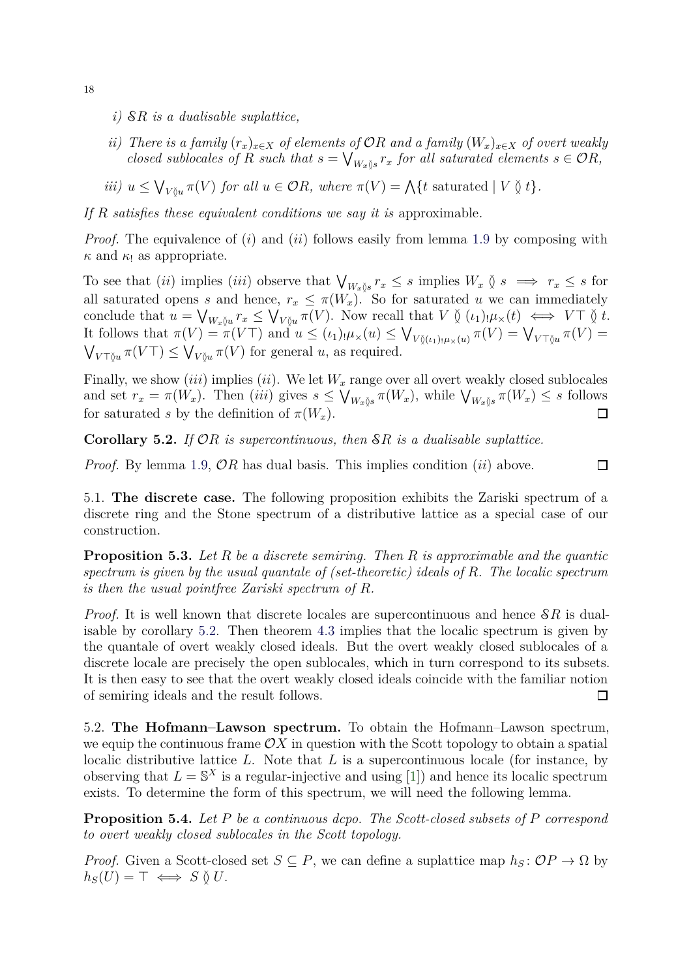- *i)* SR *is a dualisable suplattice,*
- *ii)* There is a family  $(r_x)_{x\in X}$  of elements of  $\mathcal{O}R$  and a family  $(W_x)_{x\in X}$  of overt weakly *closed sublocales of* R *such that*  $s = \bigvee_{W_x \S s} r_x$  *for all saturated elements*  $s \in \mathcal{O}R$ ,
- *iii*)  $u \leq \bigvee_{V \between u} \pi(V)$  *for all*  $u \in \mathcal{O}R$ *, where*  $\pi(V) = \bigwedge \{t \text{ saturated} \mid V \between t\}.$

*If* R *satisfies these equivalent conditions we say it is* approximable*.*

*Proof.* The equivalence of (i) and (ii) follows easily from lemma [1.9](#page-6-0) by composing with  $\kappa$  and  $\kappa_1$  as appropriate.

To see that (*ii*) implies (*iii*) observe that  $\bigvee_{W_x\S} r_x \leq s$  implies  $W_x \S$   $s \implies r_x \leq s$  for all saturated opens s and hence,  $r_x \leq \pi(W_x)$ . So for saturated u we can immediately conclude that  $u = \bigvee_{W_x \uparrow u} r_x \leq \bigvee_{V \uparrow u} \pi(V)$ . Now recall that  $V \uparrow (t_1) \downarrow \mu_x(t) \iff V \top \uparrow t$ . It follows that  $\pi(V) = \pi(V\top)$  and  $u \leq (\iota_1) \cdot \mu_\times(u) \leq \bigvee_{V \between(\iota_1) \cdot \mu_\times(u)} \pi(V) = \bigvee_{V \top \betweenu} \pi(V) =$  $\bigvee_{V \top \S u} \pi(V \top) \leq \bigvee_{V \S u} \pi(V)$  for general u, as required.

Finally, we show *(iii)* implies *(ii)*. We let  $W_x$  range over all overt weakly closed sublocales and set  $r_x = \pi(W_x)$ . Then (iii) gives  $s \leq V_{W_x \S_s} \pi(W_x)$ , while  $V_{W_x \S_s} \pi(W_x) \leq s$  follows for saturated s by the definition of  $\pi(W_x)$ .  $\Box$ 

<span id="page-17-1"></span>**Corollary 5.2.** *If* OR *is supercontinuous, then* SR *is a dualisable suplattice.*

*Proof.* By lemma [1.9,](#page-6-0)  $\mathcal{O}R$  has dual basis. This implies condition (ii) above.

 $\Box$ 

5.1. **The discrete case.** The following proposition exhibits the Zariski spectrum of a discrete ring and the Stone spectrum of a distributive lattice as a special case of our construction.

**Proposition 5.3.** *Let* R *be a discrete semiring. Then* R *is approximable and the quantic spectrum is given by the usual quantale of (set-theoretic) ideals of* R*. The localic spectrum is then the usual pointfree Zariski spectrum of* R*.*

*Proof.* It is well known that discrete locales are supercontinuous and hence  $\delta R$  is dualisable by corollary [5.2.](#page-17-1) Then theorem [4.3](#page-15-0) implies that the localic spectrum is given by the quantale of overt weakly closed ideals. But the overt weakly closed sublocales of a discrete locale are precisely the open sublocales, which in turn correspond to its subsets. It is then easy to see that the overt weakly closed ideals coincide with the familiar notion of semiring ideals and the result follows.  $\Box$ 

5.2. **The Hofmann–Lawson spectrum.** To obtain the Hofmann–Lawson spectrum, we equip the continuous frame  $\mathcal{O}X$  in question with the Scott topology to obtain a spatial localic distributive lattice  $L$ . Note that  $L$  is a supercontinuous locale (for instance, by observing that  $L = \mathbb{S}^X$  is a regular-injective and using [\[1\]](#page-21-16)) and hence its localic spectrum exists. To determine the form of this spectrum, we will need the following lemma.

<span id="page-17-0"></span>**Proposition 5.4.** *Let* P *be a continuous dcpo. The Scott-closed subsets of* P *correspond to overt weakly closed sublocales in the Scott topology.*

*Proof.* Given a Scott-closed set  $S \subseteq P$ , we can define a suplattice map  $h_S : \mathcal{O}P \to \Omega$  by  $h_S(U) = \top \iff S \; \delta \; U.$ 

18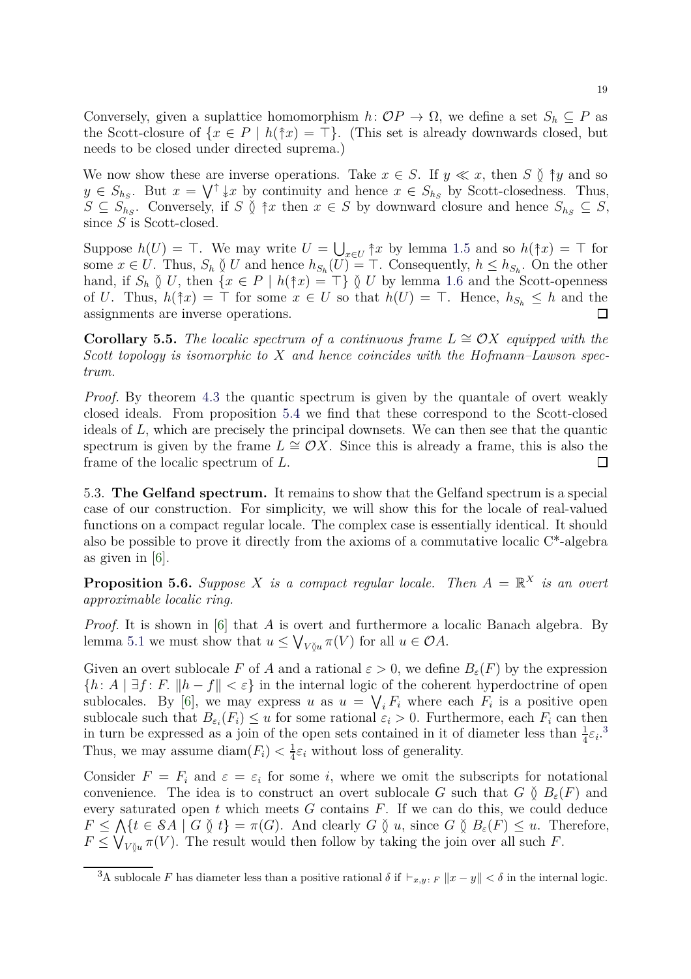Conversely, given a suplattice homomorphism  $h: OP \to \Omega$ , we define a set  $S_h \subseteq P$  as the Scott-closure of  $\{x \in P \mid h(\hat{\uparrow} x) = \top\}$ . (This set is already downwards closed, but needs to be closed under directed suprema.)

We now show these are inverse operations. Take  $x \in S$ . If  $y \ll x$ , then S  $\delta \uparrow y$  and so  $y \in S_{h_S}$ . But  $x = \bigvee^{\uparrow} \downarrow x$  by continuity and hence  $x \in S_{h_S}$  by Scott-closedness. Thus,  $S \subseteq S_{h_S}$ . Conversely, if S  $\Diamond$   $\uparrow x$  then  $x \in S$  by downward closure and hence  $S_{h_S} \subseteq S$ , since  $S$  is Scott-closed.

Suppose  $h(U) = \top$ . We may write  $U = \bigcup_{x \in U} \hat{\uparrow}x$  by lemma [1.5](#page-5-0) and so  $h(\hat{\uparrow}x) = \top$  for some  $x \in U$ . Thus,  $S_h \nsubseteq U$  and hence  $h_{S_h}(U) = \top$ . Consequently,  $h \leq h_{S_h}$ . On the other hand, if  $S_h \S U$ , then  $\{x \in P \mid h(\dagger x) = \top\} \S U$  by lemma [1.6](#page-5-1) and the Scott-openness of U. Thus,  $h(\hat{\uparrow} x) = \top$  for some  $x \in U$  so that  $h(U) = \top$ . Hence,  $h_{S_h} \leq h$  and the assignments are inverse operations.  $\Box$ 

**Corollary 5.5.** *The localic spectrum of a continuous frame*  $L \cong OX$  *equipped with the Scott topology is isomorphic to* X *and hence coincides with the Hofmann–Lawson spectrum.*

*Proof.* By theorem [4.3](#page-15-0) the quantic spectrum is given by the quantale of overt weakly closed ideals. From proposition [5.4](#page-17-0) we find that these correspond to the Scott-closed ideals of L, which are precisely the principal downsets. We can then see that the quantic spectrum is given by the frame  $L \cong \mathcal{O}X$ . Since this is already a frame, this is also the frame of the localic spectrum of L.  $\Box$ 

5.3. **The Gelfand spectrum.** It remains to show that the Gelfand spectrum is a special case of our construction. For simplicity, we will show this for the locale of real-valued functions on a compact regular locale. The complex case is essentially identical. It should also be possible to prove it directly from the axioms of a commutative localic C\*-algebra as given in [\[6\]](#page-21-17).

<span id="page-18-1"></span>**Proposition 5.6.** Suppose X is a compact regular locale. Then  $A = \mathbb{R}^X$  is an overt *approximable localic ring.*

*Proof.* It is shown in [\[6\]](#page-21-17) that A is overt and furthermore a localic Banach algebra. By lemma [5.1](#page-16-2) we must show that  $u \leq \bigvee_{V \between u} \pi(V)$  for all  $u \in \mathcal{O}A$ .

Given an overt sublocale F of A and a rational  $\varepsilon > 0$ , we define  $B_{\varepsilon}(F)$  by the expression  ${h: A \mid \exists f: F. ||h - f|| < \varepsilon}$  in the internal logic of the coherent hyperdoctrine of open sublocales. By [\[6\]](#page-21-17), we may express u as  $u = \bigvee_i F_i$  where each  $F_i$  is a positive open sublocale such that  $B_{\varepsilon_i}(F_i) \leq u$  for some rational  $\varepsilon_i > 0$ . Furthermore, each  $F_i$  can then in turn be expressed as a join of the open sets contained in it of diameter less than  $\frac{1}{4}\varepsilon_i$ .<sup>[3](#page-18-0)</sup> Thus, we may assume  $\text{diam}(F_i) < \frac{1}{4}$  $\frac{1}{4}\varepsilon_i$  without loss of generality.

Consider  $F = F_i$  and  $\varepsilon = \varepsilon_i$  for some i, where we omit the subscripts for notational convenience. The idea is to construct an overt sublocale G such that  $G \nvert B_\varepsilon(F)$  and every saturated open t which meets  $G$  contains  $F$ . If we can do this, we could deduce  $F \leq \bigwedge \{t \in \mathcal{S}A \mid G \between t\} = \pi(G)$ . And clearly  $G \between t$  u, since  $G \between tB_{\varepsilon}(F) \leq u$ . Therefore,  $F \leq \bigvee_{V \uparrow u} \pi(V)$ . The result would then follow by taking the join over all such F.

<span id="page-18-0"></span><sup>&</sup>lt;sup>3</sup>A sublocale F has diameter less than a positive rational  $\delta$  if  $\vdash_{x,y:\;F} \|x-y\| < \delta$  in the internal logic.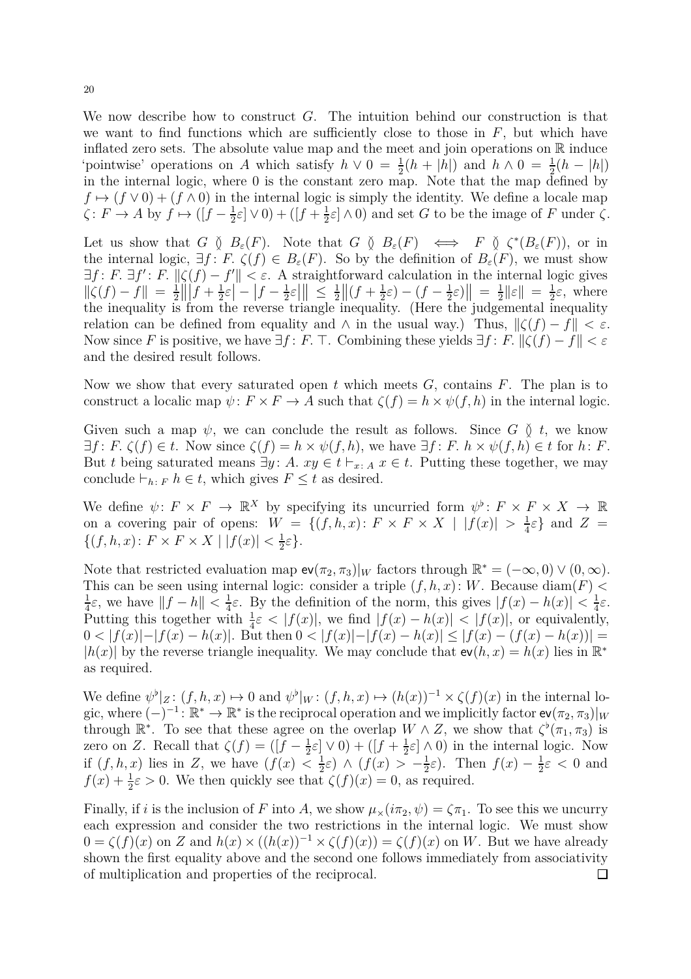We now describe how to construct  $G$ . The intuition behind our construction is that we want to find functions which are sufficiently close to those in  $F$ , but which have inflated zero sets. The absolute value map and the meet and join operations on  $\mathbb R$  induce 'pointwise' operations on A which satisfy  $h \vee 0 = \frac{1}{2}(h + |h|)$  and  $h \wedge 0 = \frac{1}{2}(h - |h|)$ in the internal logic, where 0 is the constant zero map. Note that the map defined by  $f \mapsto (f \vee 0) + (f \wedge 0)$  in the internal logic is simply the identity. We define a locale map  $\zeta \colon F \to A$  by  $f \mapsto ([f - \frac{1}{2}]$  $\frac{1}{2}\varepsilon$   $\vee$  0) + ([f +  $\frac{1}{2}$  $\frac{1}{2}\varepsilon$   $\wedge$  0) and set G to be the image of F under  $\zeta$ .

Let us show that  $G \nsubseteq B_{\varepsilon}(F)$ . Note that  $G \nsubseteq B_{\varepsilon}(F) \iff F \nsubseteq C^*(B_{\varepsilon}(F))$ , or in the internal logic,  $\exists f: F \, \zeta(f) \in B_{\varepsilon}(F)$ . So by the definition of  $B_{\varepsilon}(F)$ , we must show  $\exists f: F. \ \exists f': F. \ \|\zeta(f) - f'\| < \varepsilon.$  A straightforward calculation in the internal logic gives  $\|\zeta(f) - f\| = \frac{1}{2}$ 2  $\int_{0}^{5\sqrt{f}} f + \frac{1}{2}$  $\frac{1}{2}\varepsilon\left| -\right| f-\frac{1}{2}$  $\frac{1}{2}\varepsilon$ ||  $\leq \frac{1}{2}$ 2  $\| (f + \frac{1}{2})$  $(\frac{1}{2}\varepsilon) - (f - \frac{1}{2})$  $\frac{1}{2}\varepsilon$ )|| =  $\frac{1}{2}$  $\frac{1}{2} \|\varepsilon\| \ = \ \frac{1}{2}$  $\frac{1}{2}\varepsilon$ , where the inequality is from the reverse triangle inequality. (Here the judgemental inequality relation can be defined from equality and  $\wedge$  in the usual way.) Thus,  $\|\zeta(f) - f\| < \varepsilon$ . Now since F is positive, we have  $\exists f : F$ . T. Combining these yields  $\exists f : F$ .  $\|\zeta(f) - f\| < \varepsilon$ and the desired result follows.

Now we show that every saturated open t which meets  $G$ , contains  $F$ . The plan is to construct a localic map  $\psi \colon F \times F \to A$  such that  $\zeta(f) = h \times \psi(f, h)$  in the internal logic.

Given such a map  $\psi$ , we can conclude the result as follows. Since G  $\delta$  t, we know  $\exists f: F \, \zeta(f) \in t$ . Now since  $\zeta(f) = h \times \psi(f, h)$ , we have  $\exists f: F \, h \times \psi(f, h) \in t$  for  $h: F$ . But t being saturated means  $\exists y: A. xy \in t \vdash_{x:A} x \in t$ . Putting these together, we may conclude  $\vdash_{h: F} h \in t$ , which gives  $F \leq t$  as desired.

We define  $\psi: F \times F \to \mathbb{R}^X$  by specifying its uncurried form  $\psi^{\flat}: F \times F \times X \to \mathbb{R}$ on a covering pair of opens:  $W = \{(f,h,x): F \times F \times X \mid |f(x)| > \frac{1}{4}\}$  $\frac{1}{4}\varepsilon$  and  $Z =$  $\{(f, h, x): F \times F \times X \mid |f(x)| < \frac{1}{2}\}$  $\frac{1}{2}\varepsilon$ .

Note that restricted evaluation map  $ev(\pi_2, \pi_3)|_W$  factors through  $\mathbb{R}^* = (-\infty, 0) \vee (0, \infty)$ . This can be seen using internal logic: consider a triple  $(f, h, x)$ : W. Because diam(F) < 1  $\frac{1}{4}\varepsilon$ , we have  $||f - h|| < \frac{1}{4}$  $\frac{1}{4}\varepsilon$ . By the definition of the norm, this gives  $|f(x) - h(x)| < \frac{1}{4}$  $rac{1}{4}\varepsilon$ . Putting this together with  $\frac{1}{4}\varepsilon < |f(x)|$ , we find  $|f(x) - h(x)| < |f(x)|$ , or equivalently,  $0 < |f(x)|-|f(x)-h(x)|$ . But then  $0 < |f(x)|-|f(x)-h(x)| \leq |f(x)-(f(x)-h(x))|$  $|h(x)|$  by the reverse triangle inequality. We may conclude that  $ev(h, x) = h(x)$  lies in  $\mathbb{R}^*$ as required.

We define  $\psi^{\flat}|_{Z}: (f, h, x) \mapsto 0$  and  $\psi^{\flat}|_{W}: (f, h, x) \mapsto (h(x))^{-1} \times \zeta(f)(x)$  in the internal logic, where  $(-)^{-1}$ :  $\mathbb{R}^* \to \mathbb{R}^*$  is the reciprocal operation and we implicitly factor  $\mathsf{ev}(\pi_2,\pi_3)|_W$ through  $\mathbb{R}^*$ . To see that these agree on the overlap  $W \wedge Z$ , we show that  $\zeta^{\flat}(\pi_1, \pi_3)$  is zero on Z. Recall that  $\zeta(f) = (f - \frac{1}{2})$  $\frac{1}{2}\varepsilon\rfloor\vee 0)+([f+\frac{1}{2}]$  $\frac{1}{2}\varepsilon$   $\wedge$  0) in the internal logic. Now if  $(f, h, x)$  lies in Z, we have  $(f(x) < \frac{1}{2})$  $(\frac{1}{2}\varepsilon) \wedge (f(x)) > -\frac{1}{2}$  $(\frac{1}{2}\varepsilon)$ . Then  $f(x) - \frac{1}{2}$  $\frac{1}{2}\varepsilon < 0$  and  $f(x) + \frac{1}{2}\varepsilon > 0$ . We then quickly see that  $\zeta(f)(x) = 0$ , as required.

Finally, if i is the inclusion of F into A, we show  $\mu_{\times}(i\pi_2, \psi) = \zeta \pi_1$ . To see this we uncurry each expression and consider the two restrictions in the internal logic. We must show  $0 = \zeta(f)(x)$  on Z and  $h(x) \times ((h(x))^{-1} \times \zeta(f)(x)) = \zeta(f)(x)$  on W. But we have already shown the first equality above and the second one follows immediately from associativity of multiplication and properties of the reciprocal. $\Box$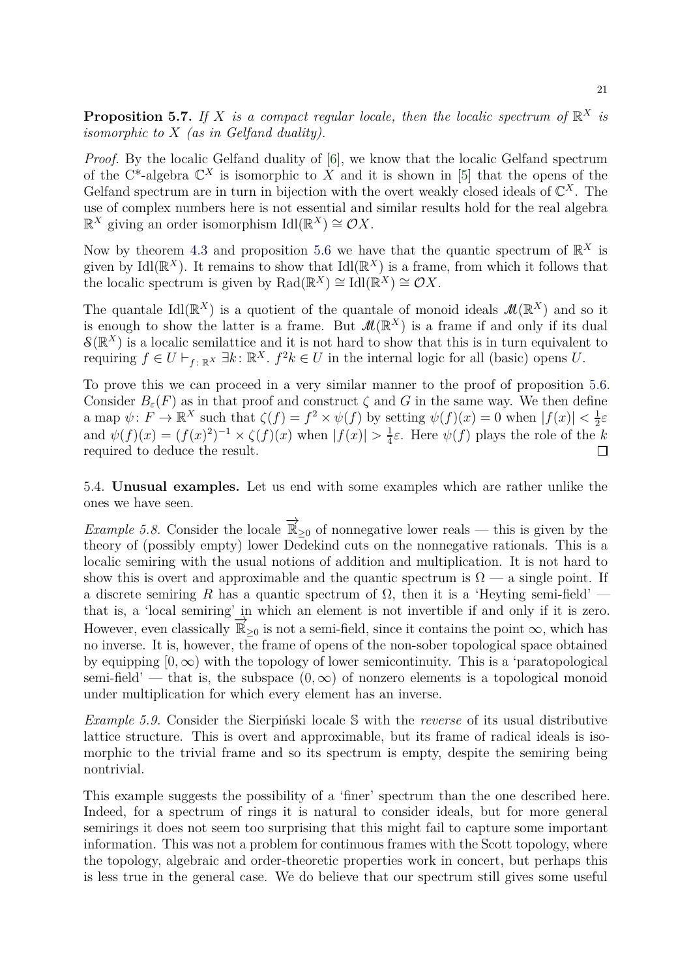**Proposition 5.7.** If X is a compact regular locale, then the localic spectrum of  $\mathbb{R}^X$  is *isomorphic to* X *(as in Gelfand duality).*

*Proof.* By the localic Gelfand duality of [\[6\]](#page-21-17), we know that the localic Gelfand spectrum of the C<sup>\*</sup>-algebra  $\mathbb{C}^X$  is isomorphic to X and it is shown in [\[5\]](#page-21-3) that the opens of the Gelfand spectrum are in turn in bijection with the overt weakly closed ideals of  $\mathbb{C}^X$ . The use of complex numbers here is not essential and similar results hold for the real algebra  $\mathbb{R}^X$  giving an order isomorphism  $\mathrm{Id}(\mathbb{R}^X) \cong \mathcal{O}X$ .

Now by theorem [4.3](#page-15-0) and proposition [5.6](#page-18-1) we have that the quantic spectrum of  $\mathbb{R}^X$  is given by Idl( $\mathbb{R}^{X}$ ). It remains to show that Idl( $\mathbb{R}^{X}$ ) is a frame, from which it follows that the localic spectrum is given by  $\text{Rad}(\mathbb{R}^X) \cong \text{Id}(\mathbb{R}^X) \cong \mathcal{O}X$ .

The quantale Idl( $\mathbb{R}^{X}$ ) is a quotient of the quantale of monoid ideals  $\mathcal{M}(\mathbb{R}^{X})$  and so it is enough to show the latter is a frame. But  $\mathcal{M}(\mathbb{R}^X)$  is a frame if and only if its dual  $\mathcal{S}(\mathbb{R}^X)$  is a localic semilattice and it is not hard to show that this is in turn equivalent to requiring  $f \in U \vdash_{f: \mathbb{R}^X} \exists k: \mathbb{R}^X$ .  $f^2k \in U$  in the internal logic for all (basic) opens U.

To prove this we can proceed in a very similar manner to the proof of proposition [5.6.](#page-18-1) Consider  $B_{\varepsilon}(F)$  as in that proof and construct  $\zeta$  and G in the same way. We then define a map  $\psi: F \to \mathbb{R}^X$  such that  $\zeta(f) = f^2 \times \psi(f)$  by setting  $\psi(f)(x) = 0$  when  $|f(x)| < \frac{1}{2}$  $rac{1}{2}\varepsilon$ and  $\psi(f)(x) = (f(x)^2)^{-1} \times \zeta(f)(x)$  when  $|f(x)| > \frac{1}{4}$  $\frac{1}{4}\varepsilon$ . Here  $\psi(f)$  plays the role of the  $k$ required to deduce the result.  $\Box$ 

5.4. **Unusual examples.** Let us end with some examples which are rather unlike the ones we have seen.

*Example 5.8.* Consider the locale  $\overrightarrow{\mathbb{R}}_{\geq 0}$  of nonnegative lower reals — this is given by the theory of (possibly empty) lower Dedekind cuts on the nonnegative rationals. This is a localic semiring with the usual notions of addition and multiplication. It is not hard to show this is overt and approximable and the quantic spectrum is  $\Omega$  — a single point. If a discrete semiring R has a quantic spectrum of  $\Omega$ , then it is a 'Heyting semi-field' that is, a 'local semiring' in which an element is not invertible if and only if it is zero. However, even classically  $\overline{\mathbb{R}}_{\geq 0}$  is not a semi-field, since it contains the point  $\infty$ , which has no inverse. It is, however, the frame of opens of the non-sober topological space obtained by equipping  $[0, \infty)$  with the topology of lower semicontinuity. This is a 'paratopological semi-field' — that is, the subspace  $(0, \infty)$  of nonzero elements is a topological monoid under multiplication for which every element has an inverse.

*Example 5.9.* Consider the Sierpiński locale S with the *reverse* of its usual distributive lattice structure. This is overt and approximable, but its frame of radical ideals is isomorphic to the trivial frame and so its spectrum is empty, despite the semiring being nontrivial.

This example suggests the possibility of a 'finer' spectrum than the one described here. Indeed, for a spectrum of rings it is natural to consider ideals, but for more general semirings it does not seem too surprising that this might fail to capture some important information. This was not a problem for continuous frames with the Scott topology, where the topology, algebraic and order-theoretic properties work in concert, but perhaps this is less true in the general case. We do believe that our spectrum still gives some useful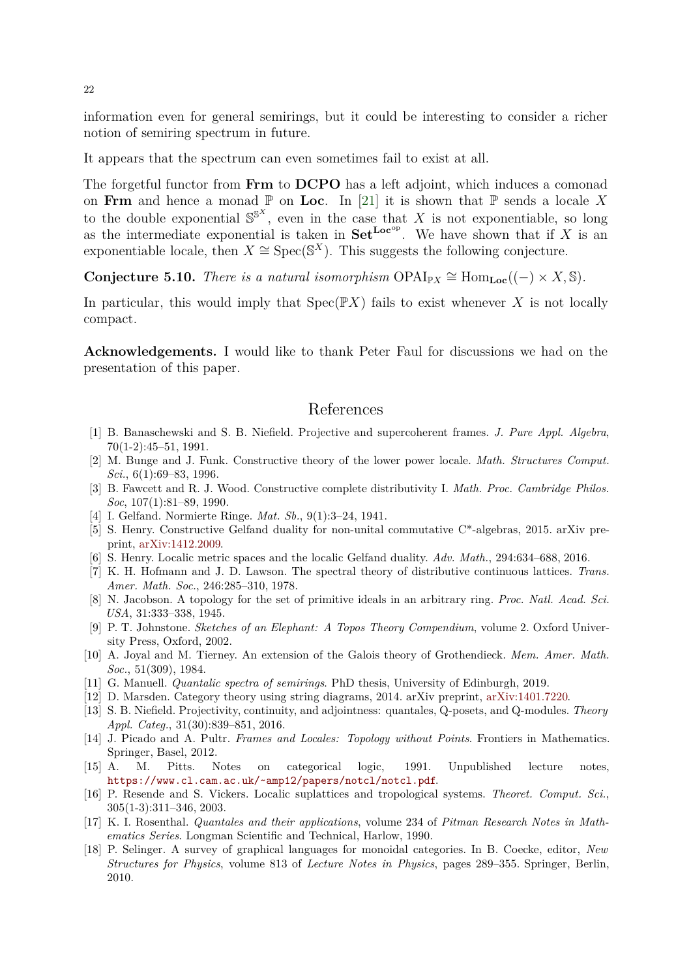information even for general semirings, but it could be interesting to consider a richer notion of semiring spectrum in future.

It appears that the spectrum can even sometimes fail to exist at all.

The forgetful functor from Frm to DCPO has a left adjoint, which induces a comonad on Frm and hence a monad  $\mathbb P$  on Loc. In [\[21\]](#page-22-2) it is shown that  $\mathbb P$  sends a locale X to the double exponential  $\mathbb{S}^{S^X}$ , even in the case that X is not exponentiable, so long as the intermediate exponential is taken in  $\mathbf{Set}^{\mathbf{Loc}^{\mathrm{op}}}$ . We have shown that if X is an exponentiable locale, then  $X \cong \text{Spec}(\mathbb{S}^X)$ . This suggests the following conjecture.

**Conjecture 5.10.** *There is a natural isomorphism*  $OPAI_{\mathbb{P}X} \cong Hom_{Loc}((-) \times X, \mathbb{S})$ *.* 

In particular, this would imply that  $Spec(\mathbb{P}X)$  fails to exist whenever X is not locally compact.

**Acknowledgements.** I would like to thank Peter Faul for discussions we had on the presentation of this paper.

## References

- <span id="page-21-16"></span>[1] B. Banaschewski and S. B. Niefield. Projective and supercoherent frames. *J. Pure Appl. Algebra*, 70(1-2):45–51, 1991.
- <span id="page-21-10"></span>[2] M. Bunge and J. Funk. Constructive theory of the lower power locale. *Math. Structures Comput. Sci.*, 6(1):69–83, 1996.
- <span id="page-21-13"></span>[3] B. Fawcett and R. J. Wood. Constructive complete distributivity I. *Math. Proc. Cambridge Philos. Soc*, 107(1):81–89, 1990.
- <span id="page-21-3"></span><span id="page-21-1"></span>[4] I. Gelfand. Normierte Ringe. *Mat. Sb.*, 9(1):3–24, 1941.
- [5] S. Henry. Constructive Gelfand duality for non-unital commutative C\*-algebras, 2015. arXiv preprint, [arXiv:1412.2009.](https://arxiv.org/abs/1412.2009)
- <span id="page-21-17"></span><span id="page-21-2"></span>[6] S. Henry. Localic metric spaces and the localic Gelfand duality. *Adv. Math.*, 294:634–688, 2016.
- [7] K. H. Hofmann and J. D. Lawson. The spectral theory of distributive continuous lattices. *Trans. Amer. Math. Soc.*, 246:285–310, 1978.
- <span id="page-21-0"></span>[8] N. Jacobson. A topology for the set of primitive ideals in an arbitrary ring. *Proc. Natl. Acad. Sci. USA*, 31:333–338, 1945.
- <span id="page-21-8"></span>[9] P. T. Johnstone. *Sketches of an Elephant: A Topos Theory Compendium*, volume 2. Oxford University Press, Oxford, 2002.
- <span id="page-21-5"></span>[10] A. Joyal and M. Tierney. An extension of the Galois theory of Grothendieck. *Mem. Amer. Math. Soc.*, 51(309), 1984.
- <span id="page-21-11"></span><span id="page-21-4"></span>[11] G. Manuell. *Quantalic spectra of semirings*. PhD thesis, University of Edinburgh, 2019.
- <span id="page-21-14"></span>[12] D. Marsden. Category theory using string diagrams, 2014. arXiv preprint, [arXiv:1401.7220.](https://arxiv.org/abs/1401.7220)
- [13] S. B. Niefield. Projectivity, continuity, and adjointness: quantales, Q-posets, and Q-modules. *Theory Appl. Categ.*, 31(30):839–851, 2016.
- <span id="page-21-7"></span>[14] J. Picado and A. Pultr. *Frames and Locales: Topology without Points*. Frontiers in Mathematics. Springer, Basel, 2012.
- <span id="page-21-9"></span>[15] A. M. Pitts. Notes on categorical logic, 1991. Unpublished lecture notes, <https://www.cl.cam.ac.uk/~amp12/papers/notcl/notcl.pdf>.
- <span id="page-21-15"></span>[16] P. Resende and S. Vickers. Localic suplattices and tropological systems. *Theoret. Comput. Sci.*, 305(1-3):311–346, 2003.
- <span id="page-21-6"></span>[17] K. I. Rosenthal. *Quantales and their applications*, volume 234 of *Pitman Research Notes in Mathematics Series*. Longman Scientific and Technical, Harlow, 1990.
- <span id="page-21-12"></span>[18] P. Selinger. A survey of graphical languages for monoidal categories. In B. Coecke, editor, *New Structures for Physics*, volume 813 of *Lecture Notes in Physics*, pages 289–355. Springer, Berlin, 2010.